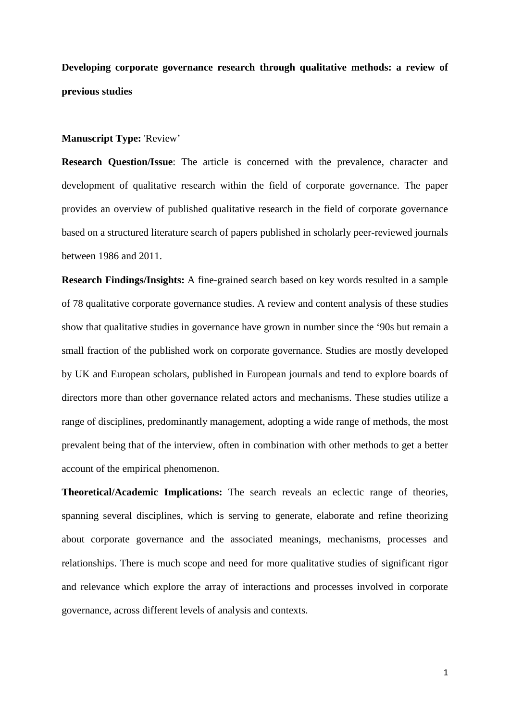**Developing corporate governance research through qualitative methods: a review of previous studies** 

#### **Manuscript Type:** 'Review'

**Research Question/Issue**: The article is concerned with the prevalence, character and development of qualitative research within the field of corporate governance. The paper provides an overview of published qualitative research in the field of corporate governance based on a structured literature search of papers published in scholarly peer-reviewed journals between 1986 and 2011.

**Research Findings/Insights:** A fine-grained search based on key words resulted in a sample of 78 qualitative corporate governance studies. A review and content analysis of these studies show that qualitative studies in governance have grown in number since the '90s but remain a small fraction of the published work on corporate governance. Studies are mostly developed by UK and European scholars, published in European journals and tend to explore boards of directors more than other governance related actors and mechanisms. These studies utilize a range of disciplines, predominantly management, adopting a wide range of methods, the most prevalent being that of the interview, often in combination with other methods to get a better account of the empirical phenomenon.

**Theoretical/Academic Implications:** The search reveals an eclectic range of theories, spanning several disciplines, which is serving to generate, elaborate and refine theorizing about corporate governance and the associated meanings, mechanisms, processes and relationships. There is much scope and need for more qualitative studies of significant rigor and relevance which explore the array of interactions and processes involved in corporate governance, across different levels of analysis and contexts.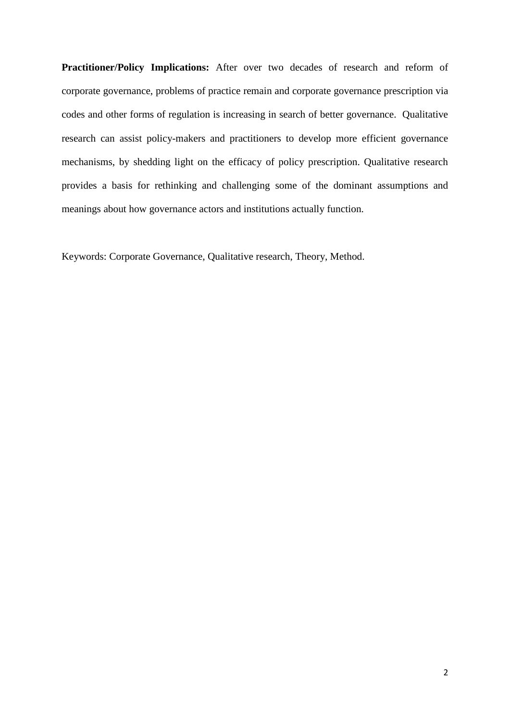**Practitioner/Policy Implications:** After over two decades of research and reform of corporate governance, problems of practice remain and corporate governance prescription via codes and other forms of regulation is increasing in search of better governance. Qualitative research can assist policy-makers and practitioners to develop more efficient governance mechanisms, by shedding light on the efficacy of policy prescription. Qualitative research provides a basis for rethinking and challenging some of the dominant assumptions and meanings about how governance actors and institutions actually function.

Keywords: Corporate Governance, Qualitative research, Theory, Method.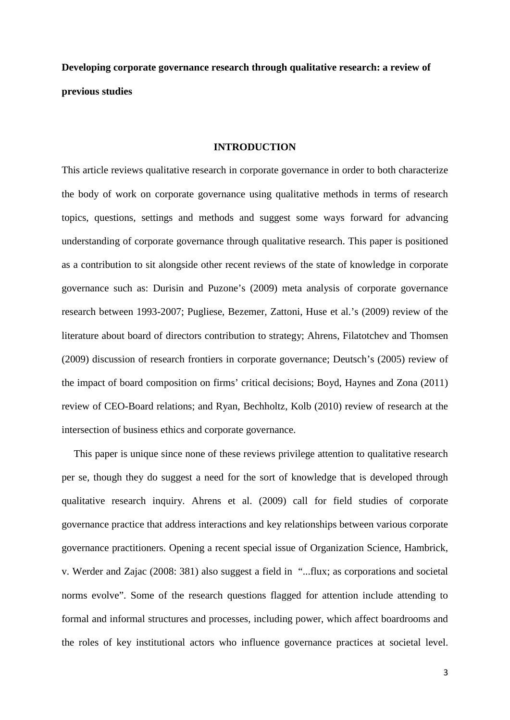**Developing corporate governance research through qualitative research: a review of previous studies** 

#### **INTRODUCTION**

This article reviews qualitative research in corporate governance in order to both characterize the body of work on corporate governance using qualitative methods in terms of research topics, questions, settings and methods and suggest some ways forward for advancing understanding of corporate governance through qualitative research. This paper is positioned as a contribution to sit alongside other recent reviews of the state of knowledge in corporate governance such as: Durisin and Puzone's (2009) meta analysis of corporate governance research between 1993-2007; Pugliese, Bezemer, Zattoni, Huse et al.'s (2009) review of the literature about board of directors contribution to strategy; Ahrens, Filatotchev and Thomsen (2009) discussion of research frontiers in corporate governance; Deutsch's (2005) review of the impact of board composition on firms' critical decisions; Boyd, Haynes and Zona (2011) review of CEO-Board relations; and Ryan, Bechholtz, Kolb (2010) review of research at the intersection of business ethics and corporate governance.

This paper is unique since none of these reviews privilege attention to qualitative research per se, though they do suggest a need for the sort of knowledge that is developed through qualitative research inquiry. Ahrens et al. (2009) call for field studies of corporate governance practice that address interactions and key relationships between various corporate governance practitioners. Opening a recent special issue of Organization Science, Hambrick, v. Werder and Zajac (2008: 381) also suggest a field in "...flux; as corporations and societal norms evolve". Some of the research questions flagged for attention include attending to formal and informal structures and processes, including power, which affect boardrooms and the roles of key institutional actors who influence governance practices at societal level.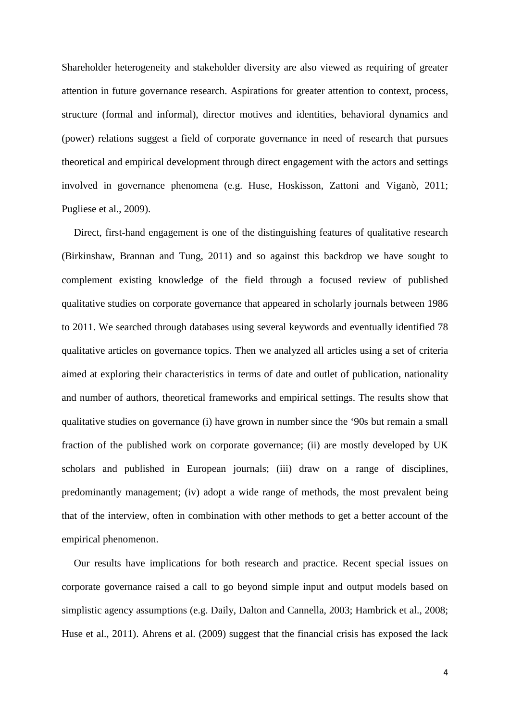Shareholder heterogeneity and stakeholder diversity are also viewed as requiring of greater attention in future governance research. Aspirations for greater attention to context, process, structure (formal and informal), director motives and identities, behavioral dynamics and (power) relations suggest a field of corporate governance in need of research that pursues theoretical and empirical development through direct engagement with the actors and settings involved in governance phenomena (e.g. Huse, Hoskisson, Zattoni and Viganò, 2011; Pugliese et al., 2009).

Direct, first-hand engagement is one of the distinguishing features of qualitative research (Birkinshaw, Brannan and Tung, 2011) and so against this backdrop we have sought to complement existing knowledge of the field through a focused review of published qualitative studies on corporate governance that appeared in scholarly journals between 1986 to 2011. We searched through databases using several keywords and eventually identified 78 qualitative articles on governance topics. Then we analyzed all articles using a set of criteria aimed at exploring their characteristics in terms of date and outlet of publication, nationality and number of authors, theoretical frameworks and empirical settings. The results show that qualitative studies on governance (i) have grown in number since the '90s but remain a small fraction of the published work on corporate governance; (ii) are mostly developed by UK scholars and published in European journals; (iii) draw on a range of disciplines, predominantly management; (iv) adopt a wide range of methods, the most prevalent being that of the interview, often in combination with other methods to get a better account of the empirical phenomenon.

Our results have implications for both research and practice. Recent special issues on corporate governance raised a call to go beyond simple input and output models based on simplistic agency assumptions (e.g. Daily, Dalton and Cannella, 2003; Hambrick et al., 2008; Huse et al., 2011). Ahrens et al. (2009) suggest that the financial crisis has exposed the lack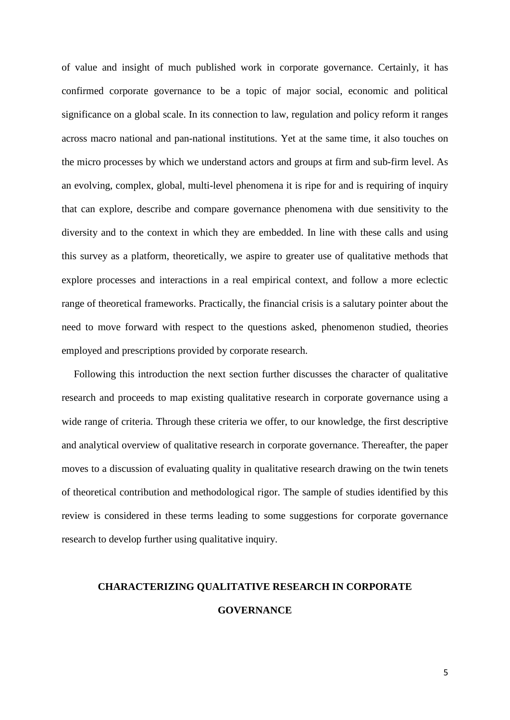of value and insight of much published work in corporate governance. Certainly, it has confirmed corporate governance to be a topic of major social, economic and political significance on a global scale. In its connection to law, regulation and policy reform it ranges across macro national and pan-national institutions. Yet at the same time, it also touches on the micro processes by which we understand actors and groups at firm and sub-firm level. As an evolving, complex, global, multi-level phenomena it is ripe for and is requiring of inquiry that can explore, describe and compare governance phenomena with due sensitivity to the diversity and to the context in which they are embedded. In line with these calls and using this survey as a platform, theoretically, we aspire to greater use of qualitative methods that explore processes and interactions in a real empirical context, and follow a more eclectic range of theoretical frameworks. Practically, the financial crisis is a salutary pointer about the need to move forward with respect to the questions asked, phenomenon studied, theories employed and prescriptions provided by corporate research.

Following this introduction the next section further discusses the character of qualitative research and proceeds to map existing qualitative research in corporate governance using a wide range of criteria. Through these criteria we offer, to our knowledge, the first descriptive and analytical overview of qualitative research in corporate governance. Thereafter, the paper moves to a discussion of evaluating quality in qualitative research drawing on the twin tenets of theoretical contribution and methodological rigor. The sample of studies identified by this review is considered in these terms leading to some suggestions for corporate governance research to develop further using qualitative inquiry.

# **CHARACTERIZING QUALITATIVE RESEARCH IN CORPORATE**

# **GOVERNANCE**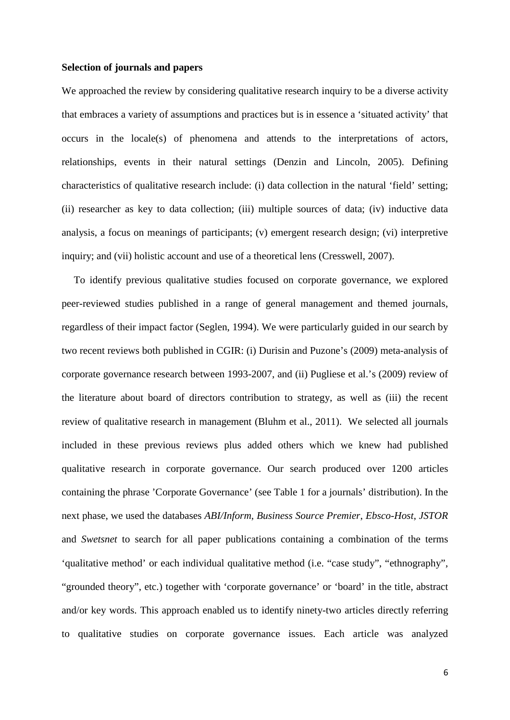## **Selection of journals and papers**

We approached the review by considering qualitative research inquiry to be a diverse activity that embraces a variety of assumptions and practices but is in essence a 'situated activity' that occurs in the locale(s) of phenomena and attends to the interpretations of actors, relationships, events in their natural settings (Denzin and Lincoln, 2005). Defining characteristics of qualitative research include: (i) data collection in the natural 'field' setting; (ii) researcher as key to data collection; (iii) multiple sources of data; (iv) inductive data analysis, a focus on meanings of participants; (v) emergent research design; (vi) interpretive inquiry; and (vii) holistic account and use of a theoretical lens (Cresswell, 2007).

To identify previous qualitative studies focused on corporate governance, we explored peer-reviewed studies published in a range of general management and themed journals, regardless of their impact factor (Seglen, 1994). We were particularly guided in our search by two recent reviews both published in CGIR: (i) Durisin and Puzone's (2009) meta-analysis of corporate governance research between 1993-2007, and (ii) Pugliese et al.'s (2009) review of the literature about board of directors contribution to strategy, as well as (iii) the recent review of qualitative research in management (Bluhm et al., 2011). We selected all journals included in these previous reviews plus added others which we knew had published qualitative research in corporate governance. Our search produced over 1200 articles containing the phrase 'Corporate Governance' (see Table 1 for a journals' distribution). In the next phase, we used the databases *ABI/Inform*, *Business Source Premier*, *Ebsco-Host*, *JSTOR* and *Swetsnet* to search for all paper publications containing a combination of the terms 'qualitative method' or each individual qualitative method (i.e. "case study", "ethnography", "grounded theory", etc.) together with 'corporate governance' or 'board' in the title, abstract and/or key words. This approach enabled us to identify ninety-two articles directly referring to qualitative studies on corporate governance issues. Each article was analyzed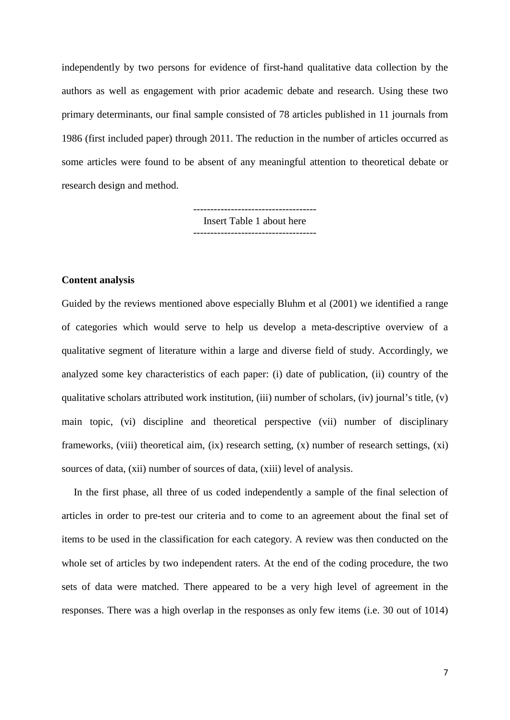independently by two persons for evidence of first-hand qualitative data collection by the authors as well as engagement with prior academic debate and research. Using these two primary determinants, our final sample consisted of 78 articles published in 11 journals from 1986 (first included paper) through 2011. The reduction in the number of articles occurred as some articles were found to be absent of any meaningful attention to theoretical debate or research design and method.

> ------------------------------------ Insert Table 1 about here ------------------------------------

## **Content analysis**

Guided by the reviews mentioned above especially Bluhm et al (2001) we identified a range of categories which would serve to help us develop a meta-descriptive overview of a qualitative segment of literature within a large and diverse field of study. Accordingly, we analyzed some key characteristics of each paper: (i) date of publication, (ii) country of the qualitative scholars attributed work institution, (iii) number of scholars, (iv) journal's title, (v) main topic, (vi) discipline and theoretical perspective (vii) number of disciplinary frameworks, (viii) theoretical aim, (ix) research setting, (x) number of research settings, (xi) sources of data, (xii) number of sources of data, (xiii) level of analysis.

In the first phase, all three of us coded independently a sample of the final selection of articles in order to pre-test our criteria and to come to an agreement about the final set of items to be used in the classification for each category. A review was then conducted on the whole set of articles by two independent raters. At the end of the coding procedure, the two sets of data were matched. There appeared to be a very high level of agreement in the responses. There was a high overlap in the responses as only few items (i.e. 30 out of 1014)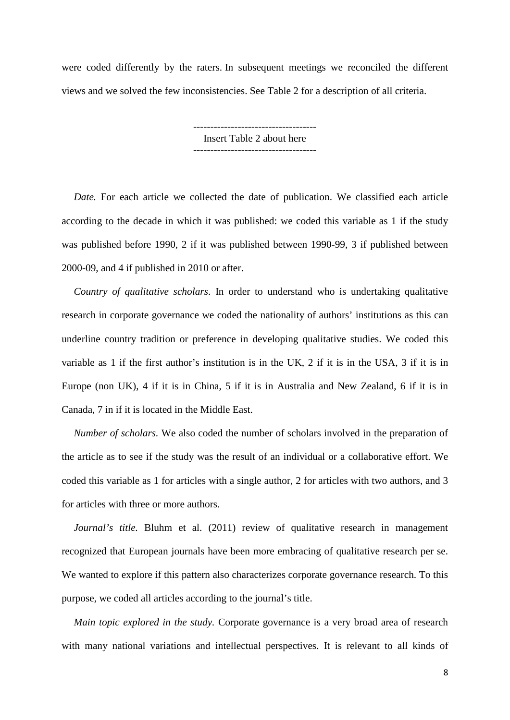were coded differently by the raters. In subsequent meetings we reconciled the different views and we solved the few inconsistencies. See Table 2 for a description of all criteria.

> ------------------------------------ Insert Table 2 about here ------------------------------------

*Date.* For each article we collected the date of publication. We classified each article according to the decade in which it was published: we coded this variable as 1 if the study was published before 1990, 2 if it was published between 1990-99, 3 if published between 2000-09, and 4 if published in 2010 or after.

*Country of qualitative scholars*. In order to understand who is undertaking qualitative research in corporate governance we coded the nationality of authors' institutions as this can underline country tradition or preference in developing qualitative studies. We coded this variable as 1 if the first author's institution is in the UK, 2 if it is in the USA, 3 if it is in Europe (non UK), 4 if it is in China, 5 if it is in Australia and New Zealand, 6 if it is in Canada, 7 in if it is located in the Middle East.

*Number of scholars.* We also coded the number of scholars involved in the preparation of the article as to see if the study was the result of an individual or a collaborative effort. We coded this variable as 1 for articles with a single author, 2 for articles with two authors, and 3 for articles with three or more authors.

*Journal's title.* Bluhm et al. (2011) review of qualitative research in management recognized that European journals have been more embracing of qualitative research per se. We wanted to explore if this pattern also characterizes corporate governance research. To this purpose, we coded all articles according to the journal's title.

*Main topic explored in the study.* Corporate governance is a very broad area of research with many national variations and intellectual perspectives. It is relevant to all kinds of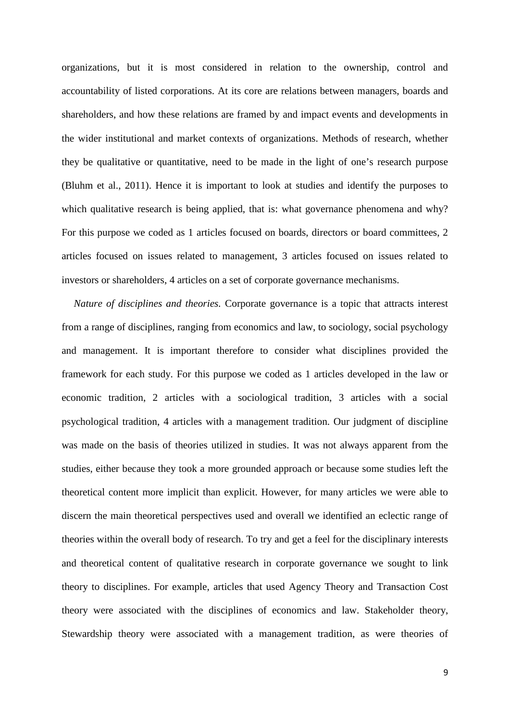organizations, but it is most considered in relation to the ownership, control and accountability of listed corporations. At its core are relations between managers, boards and shareholders, and how these relations are framed by and impact events and developments in the wider institutional and market contexts of organizations. Methods of research, whether they be qualitative or quantitative, need to be made in the light of one's research purpose (Bluhm et al., 2011). Hence it is important to look at studies and identify the purposes to which qualitative research is being applied, that is: what governance phenomena and why? For this purpose we coded as 1 articles focused on boards, directors or board committees, 2 articles focused on issues related to management, 3 articles focused on issues related to investors or shareholders, 4 articles on a set of corporate governance mechanisms.

*Nature of disciplines and theories.* Corporate governance is a topic that attracts interest from a range of disciplines, ranging from economics and law, to sociology, social psychology and management. It is important therefore to consider what disciplines provided the framework for each study. For this purpose we coded as 1 articles developed in the law or economic tradition, 2 articles with a sociological tradition, 3 articles with a social psychological tradition, 4 articles with a management tradition. Our judgment of discipline was made on the basis of theories utilized in studies. It was not always apparent from the studies, either because they took a more grounded approach or because some studies left the theoretical content more implicit than explicit. However, for many articles we were able to discern the main theoretical perspectives used and overall we identified an eclectic range of theories within the overall body of research. To try and get a feel for the disciplinary interests and theoretical content of qualitative research in corporate governance we sought to link theory to disciplines. For example, articles that used Agency Theory and Transaction Cost theory were associated with the disciplines of economics and law. Stakeholder theory, Stewardship theory were associated with a management tradition, as were theories of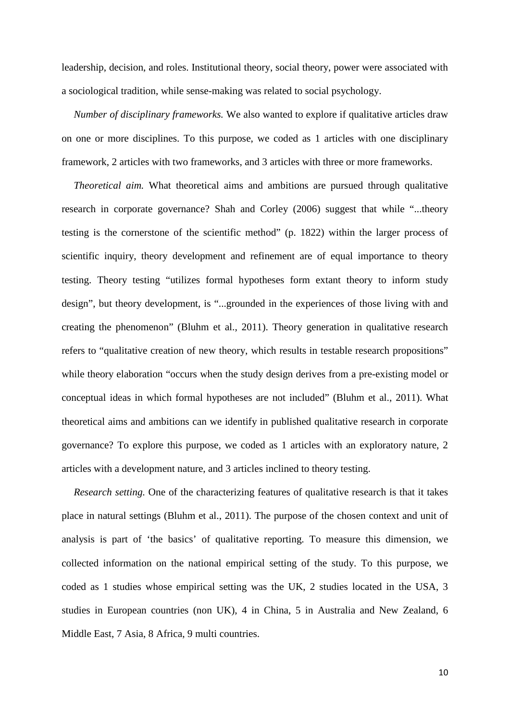leadership, decision, and roles. Institutional theory, social theory, power were associated with a sociological tradition, while sense-making was related to social psychology.

*Number of disciplinary frameworks.* We also wanted to explore if qualitative articles draw on one or more disciplines. To this purpose, we coded as 1 articles with one disciplinary framework, 2 articles with two frameworks, and 3 articles with three or more frameworks.

*Theoretical aim.* What theoretical aims and ambitions are pursued through qualitative research in corporate governance? Shah and Corley (2006) suggest that while "...theory testing is the cornerstone of the scientific method" (p. 1822) within the larger process of scientific inquiry, theory development and refinement are of equal importance to theory testing. Theory testing "utilizes formal hypotheses form extant theory to inform study design", but theory development, is "...grounded in the experiences of those living with and creating the phenomenon" (Bluhm et al., 2011). Theory generation in qualitative research refers to "qualitative creation of new theory, which results in testable research propositions" while theory elaboration "occurs when the study design derives from a pre-existing model or conceptual ideas in which formal hypotheses are not included" (Bluhm et al., 2011). What theoretical aims and ambitions can we identify in published qualitative research in corporate governance? To explore this purpose, we coded as 1 articles with an exploratory nature, 2 articles with a development nature, and 3 articles inclined to theory testing.

*Research setting.* One of the characterizing features of qualitative research is that it takes place in natural settings (Bluhm et al., 2011). The purpose of the chosen context and unit of analysis is part of 'the basics' of qualitative reporting. To measure this dimension, we collected information on the national empirical setting of the study. To this purpose, we coded as 1 studies whose empirical setting was the UK, 2 studies located in the USA, 3 studies in European countries (non UK), 4 in China, 5 in Australia and New Zealand, 6 Middle East, 7 Asia, 8 Africa, 9 multi countries.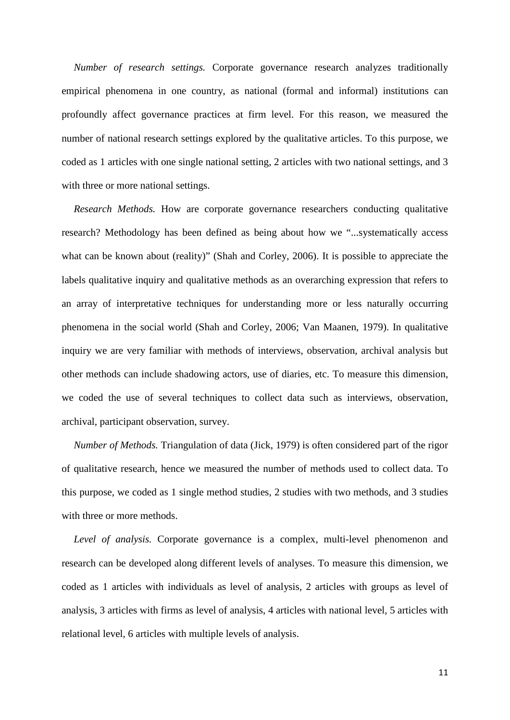*Number of research settings.* Corporate governance research analyzes traditionally empirical phenomena in one country, as national (formal and informal) institutions can profoundly affect governance practices at firm level. For this reason, we measured the number of national research settings explored by the qualitative articles. To this purpose, we coded as 1 articles with one single national setting, 2 articles with two national settings, and 3 with three or more national settings.

*Research Methods.* How are corporate governance researchers conducting qualitative research? Methodology has been defined as being about how we "...systematically access what can be known about (reality)" (Shah and Corley, 2006). It is possible to appreciate the labels qualitative inquiry and qualitative methods as an overarching expression that refers to an array of interpretative techniques for understanding more or less naturally occurring phenomena in the social world (Shah and Corley, 2006; Van Maanen, 1979). In qualitative inquiry we are very familiar with methods of interviews, observation, archival analysis but other methods can include shadowing actors, use of diaries, etc. To measure this dimension, we coded the use of several techniques to collect data such as interviews, observation, archival, participant observation, survey.

*Number of Methods.* Triangulation of data (Jick, 1979) is often considered part of the rigor of qualitative research, hence we measured the number of methods used to collect data. To this purpose, we coded as 1 single method studies, 2 studies with two methods, and 3 studies with three or more methods.

*Level of analysis.* Corporate governance is a complex, multi-level phenomenon and research can be developed along different levels of analyses. To measure this dimension, we coded as 1 articles with individuals as level of analysis, 2 articles with groups as level of analysis, 3 articles with firms as level of analysis, 4 articles with national level, 5 articles with relational level, 6 articles with multiple levels of analysis.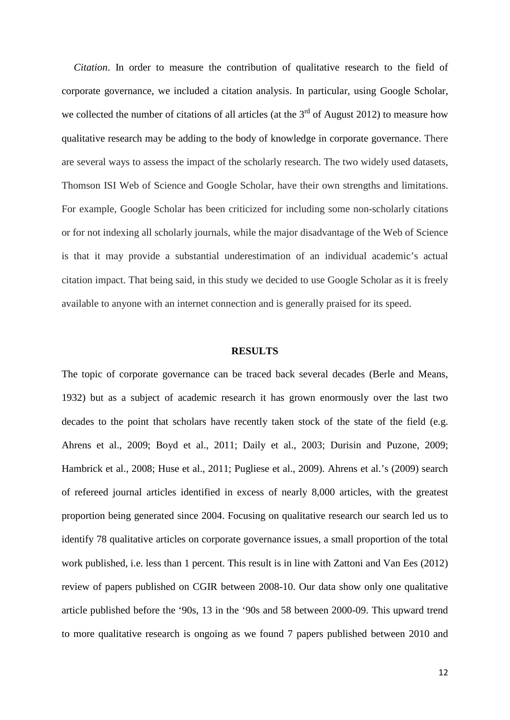*Citation*. In order to measure the contribution of qualitative research to the field of corporate governance, we included a citation analysis. In particular, using Google Scholar, we collected the number of citations of all articles (at the  $3<sup>rd</sup>$  of August 2012) to measure how qualitative research may be adding to the body of knowledge in corporate governance. There are several ways to assess the impact of the scholarly research. The two widely used datasets, Thomson ISI Web of Science and Google Scholar, have their own strengths and limitations. For example, Google Scholar has been criticized for including some non-scholarly citations or for not indexing all scholarly journals, while the major disadvantage of the Web of Science is that it may provide a substantial underestimation of an individual academic's actual citation impact. That being said, in this study we decided to use Google Scholar as it is freely available to anyone with an internet connection and is generally praised for its speed.

# **RESULTS**

The topic of corporate governance can be traced back several decades (Berle and Means, 1932) but as a subject of academic research it has grown enormously over the last two decades to the point that scholars have recently taken stock of the state of the field (e.g. Ahrens et al., 2009; Boyd et al., 2011; Daily et al., 2003; Durisin and Puzone, 2009; Hambrick et al., 2008; Huse et al., 2011; Pugliese et al., 2009). Ahrens et al.'s (2009) search of refereed journal articles identified in excess of nearly 8,000 articles, with the greatest proportion being generated since 2004. Focusing on qualitative research our search led us to identify 78 qualitative articles on corporate governance issues, a small proportion of the total work published, i.e. less than 1 percent. This result is in line with Zattoni and Van Ees (2012) review of papers published on CGIR between 2008-10. Our data show only one qualitative article published before the '90s, 13 in the '90s and 58 between 2000-09. This upward trend to more qualitative research is ongoing as we found 7 papers published between 2010 and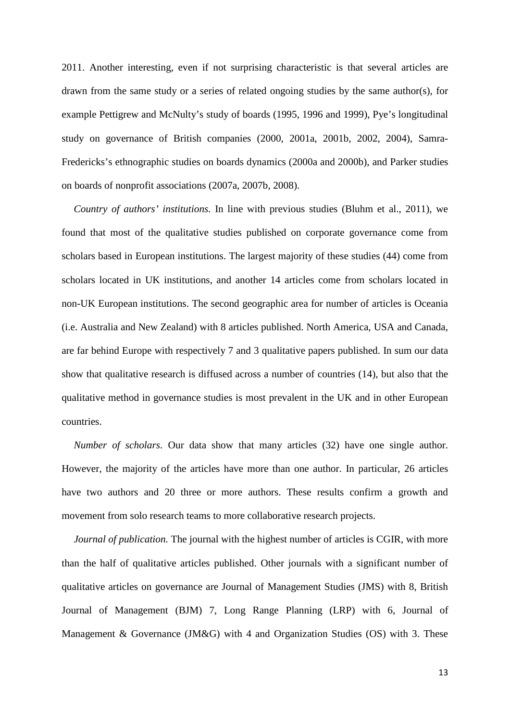2011. Another interesting, even if not surprising characteristic is that several articles are drawn from the same study or a series of related ongoing studies by the same author(s), for example Pettigrew and McNulty's study of boards (1995, 1996 and 1999), Pye's longitudinal study on governance of British companies (2000, 2001a, 2001b, 2002, 2004), Samra-Fredericks's ethnographic studies on boards dynamics (2000a and 2000b), and Parker studies on boards of nonprofit associations (2007a, 2007b, 2008).

*Country of authors' institutions.* In line with previous studies (Bluhm et al., 2011), we found that most of the qualitative studies published on corporate governance come from scholars based in European institutions. The largest majority of these studies (44) come from scholars located in UK institutions, and another 14 articles come from scholars located in non-UK European institutions. The second geographic area for number of articles is Oceania (i.e. Australia and New Zealand) with 8 articles published. North America, USA and Canada, are far behind Europe with respectively 7 and 3 qualitative papers published. In sum our data show that qualitative research is diffused across a number of countries (14), but also that the qualitative method in governance studies is most prevalent in the UK and in other European countries.

*Number of scholars.* Our data show that many articles (32) have one single author. However, the majority of the articles have more than one author. In particular, 26 articles have two authors and 20 three or more authors. These results confirm a growth and movement from solo research teams to more collaborative research projects.

*Journal of publication.* The journal with the highest number of articles is CGIR, with more than the half of qualitative articles published. Other journals with a significant number of qualitative articles on governance are Journal of Management Studies (JMS) with 8, British Journal of Management (BJM) 7, Long Range Planning (LRP) with 6, Journal of Management & Governance (JM&G) with 4 and Organization Studies (OS) with 3. These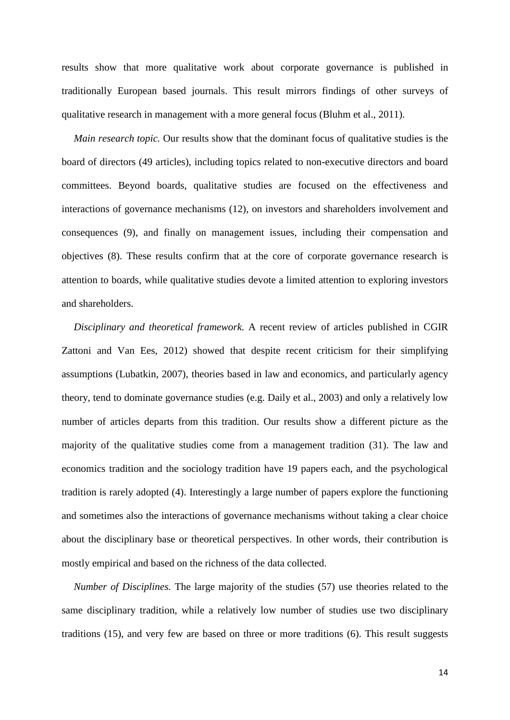results show that more qualitative work about corporate governance is published in traditionally European based journals. This result mirrors findings of other surveys of qualitative research in management with a more general focus (Bluhm et al., 2011).

*Main research topic.* Our results show that the dominant focus of qualitative studies is the board of directors (49 articles), including topics related to non-executive directors and board committees. Beyond boards, qualitative studies are focused on the effectiveness and interactions of governance mechanisms (12), on investors and shareholders involvement and consequences (9), and finally on management issues, including their compensation and objectives (8). These results confirm that at the core of corporate governance research is attention to boards, while qualitative studies devote a limited attention to exploring investors and shareholders.

*Disciplinary and theoretical framework.* A recent review of articles published in CGIR Zattoni and Van Ees, 2012) showed that despite recent criticism for their simplifying assumptions (Lubatkin, 2007), theories based in law and economics, and particularly agency theory, tend to dominate governance studies (e.g. Daily et al., 2003) and only a relatively low number of articles departs from this tradition. Our results show a different picture as the majority of the qualitative studies come from a management tradition (31). The law and economics tradition and the sociology tradition have 19 papers each, and the psychological tradition is rarely adopted (4). Interestingly a large number of papers explore the functioning and sometimes also the interactions of governance mechanisms without taking a clear choice about the disciplinary base or theoretical perspectives. In other words, their contribution is mostly empirical and based on the richness of the data collected.

*Number of Disciplines.* The large majority of the studies (57) use theories related to the same disciplinary tradition, while a relatively low number of studies use two disciplinary traditions (15), and very few are based on three or more traditions (6). This result suggests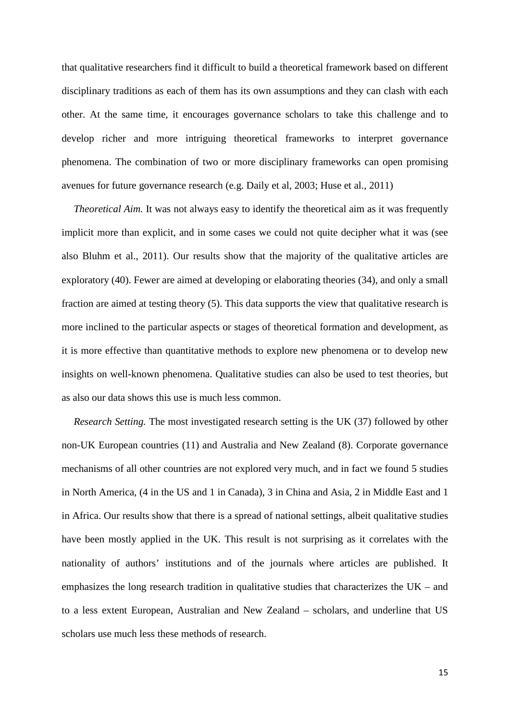that qualitative researchers find it difficult to build a theoretical framework based on different disciplinary traditions as each of them has its own assumptions and they can clash with each other. At the same time, it encourages governance scholars to take this challenge and to develop richer and more intriguing theoretical frameworks to interpret governance phenomena. The combination of two or more disciplinary frameworks can open promising avenues for future governance research (e.g. Daily et al, 2003; Huse et al., 2011)

*Theoretical Aim.* It was not always easy to identify the theoretical aim as it was frequently implicit more than explicit, and in some cases we could not quite decipher what it was (see also Bluhm et al., 2011). Our results show that the majority of the qualitative articles are exploratory (40). Fewer are aimed at developing or elaborating theories (34), and only a small fraction are aimed at testing theory (5). This data supports the view that qualitative research is more inclined to the particular aspects or stages of theoretical formation and development, as it is more effective than quantitative methods to explore new phenomena or to develop new insights on well-known phenomena. Qualitative studies can also be used to test theories, but as also our data shows this use is much less common.

*Research Setting.* The most investigated research setting is the UK (37) followed by other non-UK European countries (11) and Australia and New Zealand (8). Corporate governance mechanisms of all other countries are not explored very much, and in fact we found 5 studies in North America, (4 in the US and 1 in Canada), 3 in China and Asia, 2 in Middle East and 1 in Africa. Our results show that there is a spread of national settings, albeit qualitative studies have been mostly applied in the UK. This result is not surprising as it correlates with the nationality of authors' institutions and of the journals where articles are published. It emphasizes the long research tradition in qualitative studies that characterizes the  $UK -$  and to a less extent European, Australian and New Zealand – scholars, and underline that US scholars use much less these methods of research.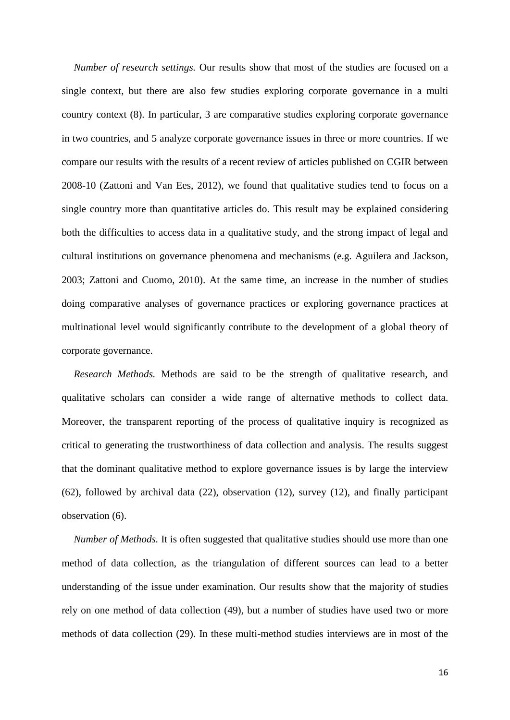*Number of research settings.* Our results show that most of the studies are focused on a single context, but there are also few studies exploring corporate governance in a multi country context (8). In particular, 3 are comparative studies exploring corporate governance in two countries, and 5 analyze corporate governance issues in three or more countries. If we compare our results with the results of a recent review of articles published on CGIR between 2008-10 (Zattoni and Van Ees, 2012), we found that qualitative studies tend to focus on a single country more than quantitative articles do. This result may be explained considering both the difficulties to access data in a qualitative study, and the strong impact of legal and cultural institutions on governance phenomena and mechanisms (e.g. Aguilera and Jackson, 2003; Zattoni and Cuomo, 2010). At the same time, an increase in the number of studies doing comparative analyses of governance practices or exploring governance practices at multinational level would significantly contribute to the development of a global theory of corporate governance.

*Research Methods.* Methods are said to be the strength of qualitative research, and qualitative scholars can consider a wide range of alternative methods to collect data. Moreover, the transparent reporting of the process of qualitative inquiry is recognized as critical to generating the trustworthiness of data collection and analysis. The results suggest that the dominant qualitative method to explore governance issues is by large the interview (62), followed by archival data (22), observation (12), survey (12), and finally participant observation (6).

*Number of Methods.* It is often suggested that qualitative studies should use more than one method of data collection, as the triangulation of different sources can lead to a better understanding of the issue under examination. Our results show that the majority of studies rely on one method of data collection (49), but a number of studies have used two or more methods of data collection (29). In these multi-method studies interviews are in most of the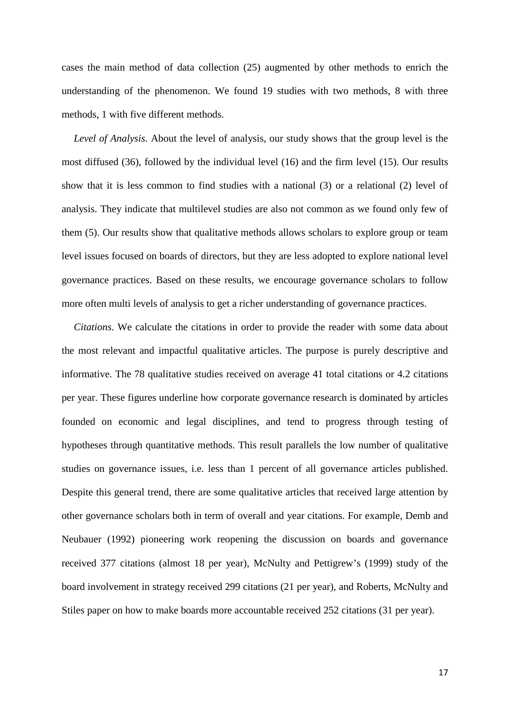cases the main method of data collection (25) augmented by other methods to enrich the understanding of the phenomenon. We found 19 studies with two methods, 8 with three methods, 1 with five different methods.

*Level of Analysis.* About the level of analysis, our study shows that the group level is the most diffused (36), followed by the individual level (16) and the firm level (15). Our results show that it is less common to find studies with a national (3) or a relational (2) level of analysis. They indicate that multilevel studies are also not common as we found only few of them (5). Our results show that qualitative methods allows scholars to explore group or team level issues focused on boards of directors, but they are less adopted to explore national level governance practices. Based on these results, we encourage governance scholars to follow more often multi levels of analysis to get a richer understanding of governance practices.

*Citations*. We calculate the citations in order to provide the reader with some data about the most relevant and impactful qualitative articles. The purpose is purely descriptive and informative. The 78 qualitative studies received on average 41 total citations or 4.2 citations per year. These figures underline how corporate governance research is dominated by articles founded on economic and legal disciplines, and tend to progress through testing of hypotheses through quantitative methods. This result parallels the low number of qualitative studies on governance issues, i.e. less than 1 percent of all governance articles published. Despite this general trend, there are some qualitative articles that received large attention by other governance scholars both in term of overall and year citations. For example, Demb and Neubauer (1992) pioneering work reopening the discussion on boards and governance received 377 citations (almost 18 per year), McNulty and Pettigrew's (1999) study of the board involvement in strategy received 299 citations (21 per year), and Roberts, McNulty and Stiles paper on how to make boards more accountable received 252 citations (31 per year).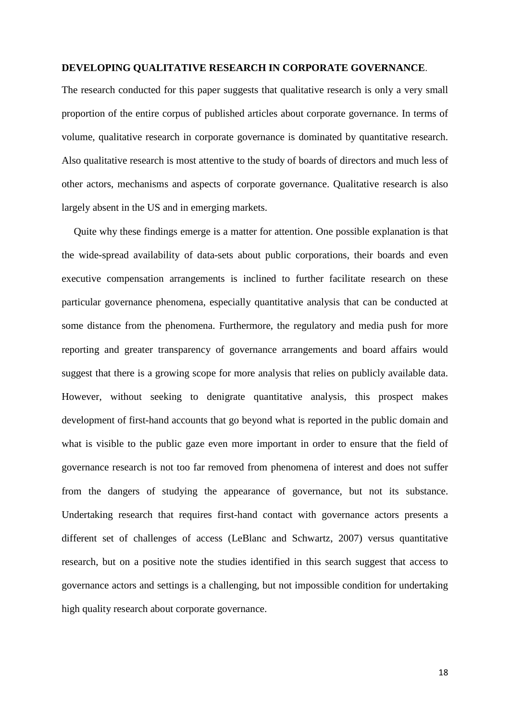# **DEVELOPING QUALITATIVE RESEARCH IN CORPORATE GOVERNANCE**.

The research conducted for this paper suggests that qualitative research is only a very small proportion of the entire corpus of published articles about corporate governance. In terms of volume, qualitative research in corporate governance is dominated by quantitative research. Also qualitative research is most attentive to the study of boards of directors and much less of other actors, mechanisms and aspects of corporate governance. Qualitative research is also largely absent in the US and in emerging markets.

Quite why these findings emerge is a matter for attention. One possible explanation is that the wide-spread availability of data-sets about public corporations, their boards and even executive compensation arrangements is inclined to further facilitate research on these particular governance phenomena, especially quantitative analysis that can be conducted at some distance from the phenomena. Furthermore, the regulatory and media push for more reporting and greater transparency of governance arrangements and board affairs would suggest that there is a growing scope for more analysis that relies on publicly available data. However, without seeking to denigrate quantitative analysis, this prospect makes development of first-hand accounts that go beyond what is reported in the public domain and what is visible to the public gaze even more important in order to ensure that the field of governance research is not too far removed from phenomena of interest and does not suffer from the dangers of studying the appearance of governance, but not its substance. Undertaking research that requires first-hand contact with governance actors presents a different set of challenges of access (LeBlanc and Schwartz, 2007) versus quantitative research, but on a positive note the studies identified in this search suggest that access to governance actors and settings is a challenging, but not impossible condition for undertaking high quality research about corporate governance.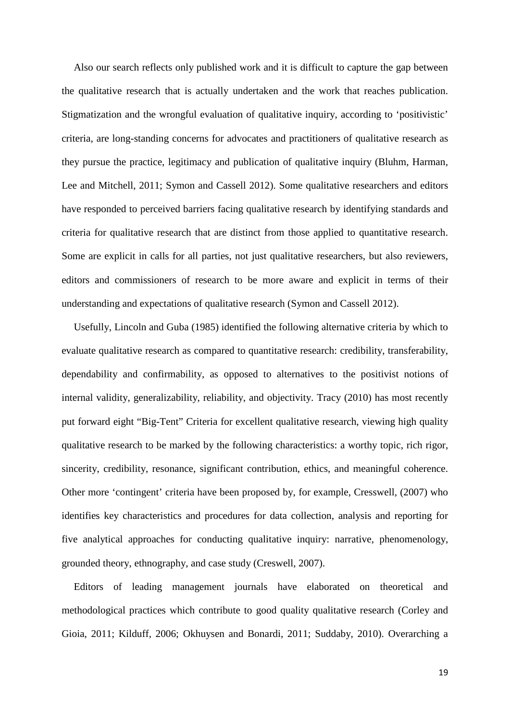Also our search reflects only published work and it is difficult to capture the gap between the qualitative research that is actually undertaken and the work that reaches publication. Stigmatization and the wrongful evaluation of qualitative inquiry, according to 'positivistic' criteria, are long-standing concerns for advocates and practitioners of qualitative research as they pursue the practice, legitimacy and publication of qualitative inquiry (Bluhm, Harman, Lee and Mitchell, 2011; Symon and Cassell 2012). Some qualitative researchers and editors have responded to perceived barriers facing qualitative research by identifying standards and criteria for qualitative research that are distinct from those applied to quantitative research. Some are explicit in calls for all parties, not just qualitative researchers, but also reviewers, editors and commissioners of research to be more aware and explicit in terms of their understanding and expectations of qualitative research (Symon and Cassell 2012).

Usefully, Lincoln and Guba (1985) identified the following alternative criteria by which to evaluate qualitative research as compared to quantitative research: credibility, transferability, dependability and confirmability, as opposed to alternatives to the positivist notions of internal validity, generalizability, reliability, and objectivity. Tracy (2010) has most recently put forward eight "Big-Tent" Criteria for excellent qualitative research, viewing high quality qualitative research to be marked by the following characteristics: a worthy topic, rich rigor, sincerity, credibility, resonance, significant contribution, ethics, and meaningful coherence. Other more 'contingent' criteria have been proposed by, for example, Cresswell, (2007) who identifies key characteristics and procedures for data collection, analysis and reporting for five analytical approaches for conducting qualitative inquiry: narrative, phenomenology, grounded theory, ethnography, and case study (Creswell, 2007).

Editors of leading management journals have elaborated on theoretical and methodological practices which contribute to good quality qualitative research (Corley and Gioia, 2011; Kilduff, 2006; Okhuysen and Bonardi, 2011; Suddaby, 2010). Overarching a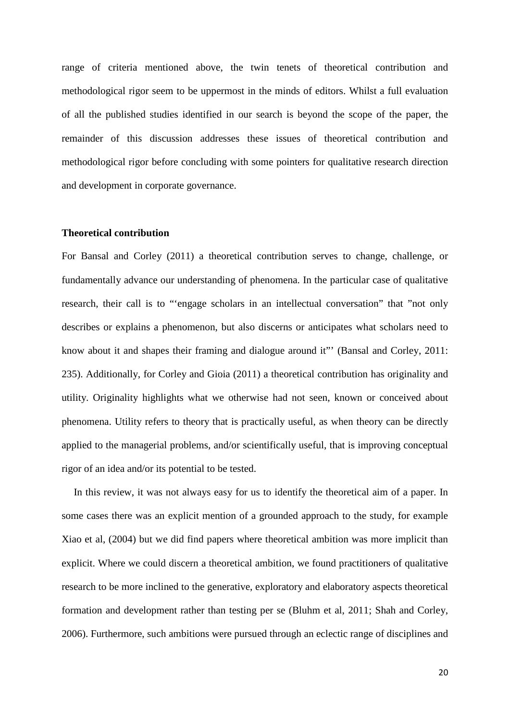range of criteria mentioned above, the twin tenets of theoretical contribution and methodological rigor seem to be uppermost in the minds of editors. Whilst a full evaluation of all the published studies identified in our search is beyond the scope of the paper, the remainder of this discussion addresses these issues of theoretical contribution and methodological rigor before concluding with some pointers for qualitative research direction and development in corporate governance.

## **Theoretical contribution**

For Bansal and Corley (2011) a theoretical contribution serves to change, challenge, or fundamentally advance our understanding of phenomena. In the particular case of qualitative research, their call is to "'engage scholars in an intellectual conversation" that "not only describes or explains a phenomenon, but also discerns or anticipates what scholars need to know about it and shapes their framing and dialogue around it"' (Bansal and Corley, 2011: 235). Additionally, for Corley and Gioia (2011) a theoretical contribution has originality and utility. Originality highlights what we otherwise had not seen, known or conceived about phenomena. Utility refers to theory that is practically useful, as when theory can be directly applied to the managerial problems, and/or scientifically useful, that is improving conceptual rigor of an idea and/or its potential to be tested.

In this review, it was not always easy for us to identify the theoretical aim of a paper. In some cases there was an explicit mention of a grounded approach to the study, for example Xiao et al, (2004) but we did find papers where theoretical ambition was more implicit than explicit. Where we could discern a theoretical ambition, we found practitioners of qualitative research to be more inclined to the generative, exploratory and elaboratory aspects theoretical formation and development rather than testing per se (Bluhm et al, 2011; Shah and Corley, 2006). Furthermore, such ambitions were pursued through an eclectic range of disciplines and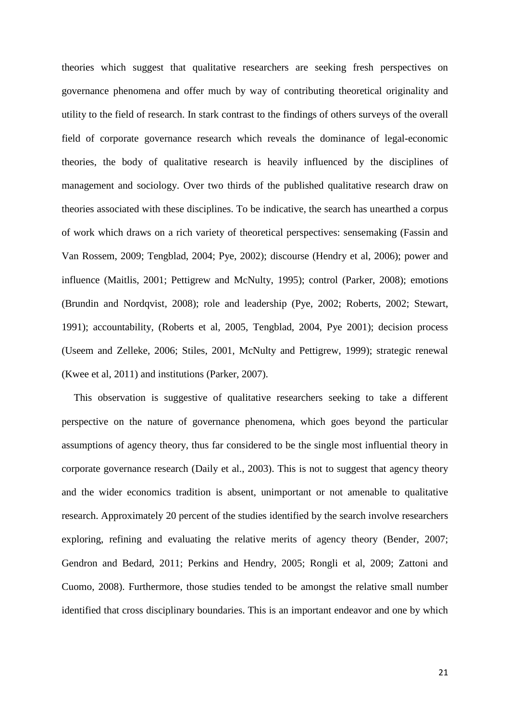theories which suggest that qualitative researchers are seeking fresh perspectives on governance phenomena and offer much by way of contributing theoretical originality and utility to the field of research. In stark contrast to the findings of others surveys of the overall field of corporate governance research which reveals the dominance of legal-economic theories, the body of qualitative research is heavily influenced by the disciplines of management and sociology. Over two thirds of the published qualitative research draw on theories associated with these disciplines. To be indicative, the search has unearthed a corpus of work which draws on a rich variety of theoretical perspectives: sensemaking (Fassin and Van Rossem, 2009; Tengblad, 2004; Pye, 2002); discourse (Hendry et al, 2006); power and influence (Maitlis, 2001; Pettigrew and McNulty, 1995); control (Parker, 2008); emotions (Brundin and Nordqvist, 2008); role and leadership (Pye, 2002; Roberts, 2002; Stewart, 1991); accountability, (Roberts et al, 2005, Tengblad, 2004, Pye 2001); decision process (Useem and Zelleke, 2006; Stiles, 2001, McNulty and Pettigrew, 1999); strategic renewal (Kwee et al, 2011) and institutions (Parker, 2007).

This observation is suggestive of qualitative researchers seeking to take a different perspective on the nature of governance phenomena, which goes beyond the particular assumptions of agency theory, thus far considered to be the single most influential theory in corporate governance research (Daily et al., 2003). This is not to suggest that agency theory and the wider economics tradition is absent, unimportant or not amenable to qualitative research. Approximately 20 percent of the studies identified by the search involve researchers exploring, refining and evaluating the relative merits of agency theory (Bender, 2007; Gendron and Bedard, 2011; Perkins and Hendry, 2005; Rongli et al, 2009; Zattoni and Cuomo, 2008). Furthermore, those studies tended to be amongst the relative small number identified that cross disciplinary boundaries. This is an important endeavor and one by which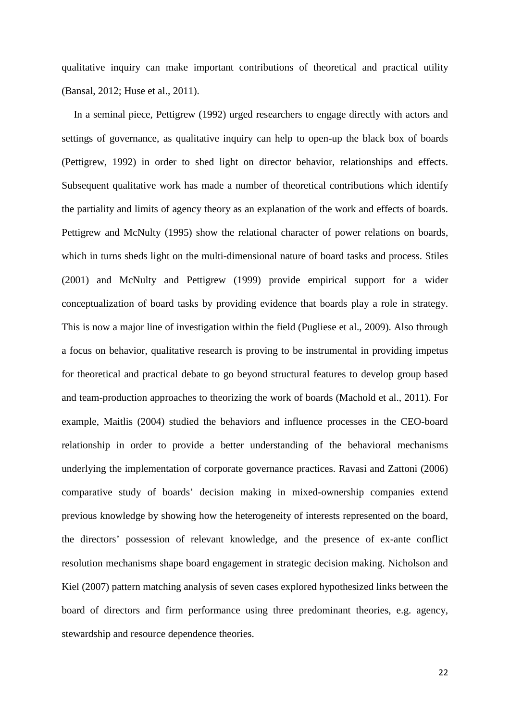qualitative inquiry can make important contributions of theoretical and practical utility (Bansal, 2012; Huse et al., 2011).

In a seminal piece, Pettigrew (1992) urged researchers to engage directly with actors and settings of governance, as qualitative inquiry can help to open-up the black box of boards (Pettigrew, 1992) in order to shed light on director behavior, relationships and effects. Subsequent qualitative work has made a number of theoretical contributions which identify the partiality and limits of agency theory as an explanation of the work and effects of boards. Pettigrew and McNulty (1995) show the relational character of power relations on boards, which in turns sheds light on the multi-dimensional nature of board tasks and process. Stiles (2001) and McNulty and Pettigrew (1999) provide empirical support for a wider conceptualization of board tasks by providing evidence that boards play a role in strategy. This is now a major line of investigation within the field (Pugliese et al., 2009). Also through a focus on behavior, qualitative research is proving to be instrumental in providing impetus for theoretical and practical debate to go beyond structural features to develop group based and team-production approaches to theorizing the work of boards (Machold et al., 2011). For example, Maitlis (2004) studied the behaviors and influence processes in the CEO-board relationship in order to provide a better understanding of the behavioral mechanisms underlying the implementation of corporate governance practices. Ravasi and Zattoni (2006) comparative study of boards' decision making in mixed-ownership companies extend previous knowledge by showing how the heterogeneity of interests represented on the board, the directors' possession of relevant knowledge, and the presence of ex-ante conflict resolution mechanisms shape board engagement in strategic decision making. Nicholson and Kiel (2007) pattern matching analysis of seven cases explored hypothesized links between the board of directors and firm performance using three predominant theories, e.g. agency, stewardship and resource dependence theories.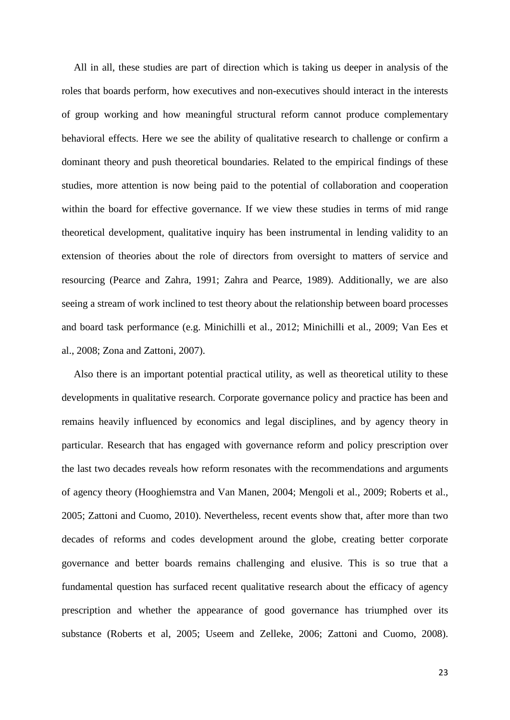All in all, these studies are part of direction which is taking us deeper in analysis of the roles that boards perform, how executives and non-executives should interact in the interests of group working and how meaningful structural reform cannot produce complementary behavioral effects. Here we see the ability of qualitative research to challenge or confirm a dominant theory and push theoretical boundaries. Related to the empirical findings of these studies, more attention is now being paid to the potential of collaboration and cooperation within the board for effective governance. If we view these studies in terms of mid range theoretical development, qualitative inquiry has been instrumental in lending validity to an extension of theories about the role of directors from oversight to matters of service and resourcing (Pearce and Zahra, 1991; Zahra and Pearce, 1989). Additionally, we are also seeing a stream of work inclined to test theory about the relationship between board processes and board task performance (e.g. Minichilli et al., 2012; Minichilli et al., 2009; Van Ees et al., 2008; Zona and Zattoni, 2007).

Also there is an important potential practical utility, as well as theoretical utility to these developments in qualitative research. Corporate governance policy and practice has been and remains heavily influenced by economics and legal disciplines, and by agency theory in particular. Research that has engaged with governance reform and policy prescription over the last two decades reveals how reform resonates with the recommendations and arguments of agency theory (Hooghiemstra and Van Manen, 2004; Mengoli et al., 2009; Roberts et al., 2005; Zattoni and Cuomo, 2010). Nevertheless, recent events show that, after more than two decades of reforms and codes development around the globe, creating better corporate governance and better boards remains challenging and elusive. This is so true that a fundamental question has surfaced recent qualitative research about the efficacy of agency prescription and whether the appearance of good governance has triumphed over its substance (Roberts et al, 2005; Useem and Zelleke, 2006; Zattoni and Cuomo, 2008).

23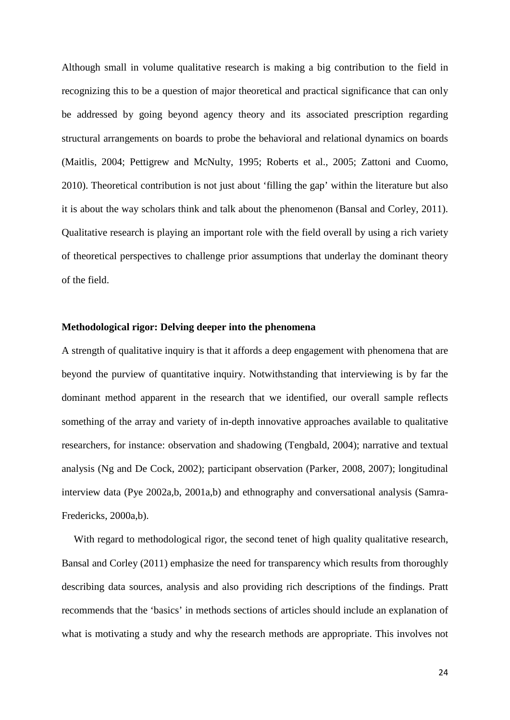Although small in volume qualitative research is making a big contribution to the field in recognizing this to be a question of major theoretical and practical significance that can only be addressed by going beyond agency theory and its associated prescription regarding structural arrangements on boards to probe the behavioral and relational dynamics on boards (Maitlis, 2004; Pettigrew and McNulty, 1995; Roberts et al., 2005; Zattoni and Cuomo, 2010). Theoretical contribution is not just about 'filling the gap' within the literature but also it is about the way scholars think and talk about the phenomenon (Bansal and Corley, 2011). Qualitative research is playing an important role with the field overall by using a rich variety of theoretical perspectives to challenge prior assumptions that underlay the dominant theory of the field.

# **Methodological rigor: Delving deeper into the phenomena**

A strength of qualitative inquiry is that it affords a deep engagement with phenomena that are beyond the purview of quantitative inquiry. Notwithstanding that interviewing is by far the dominant method apparent in the research that we identified, our overall sample reflects something of the array and variety of in-depth innovative approaches available to qualitative researchers, for instance: observation and shadowing (Tengbald, 2004); narrative and textual analysis (Ng and De Cock, 2002); participant observation (Parker, 2008, 2007); longitudinal interview data (Pye 2002a,b, 2001a,b) and ethnography and conversational analysis (Samra-Fredericks, 2000a,b).

With regard to methodological rigor, the second tenet of high quality qualitative research, Bansal and Corley (2011) emphasize the need for transparency which results from thoroughly describing data sources, analysis and also providing rich descriptions of the findings. Pratt recommends that the 'basics' in methods sections of articles should include an explanation of what is motivating a study and why the research methods are appropriate. This involves not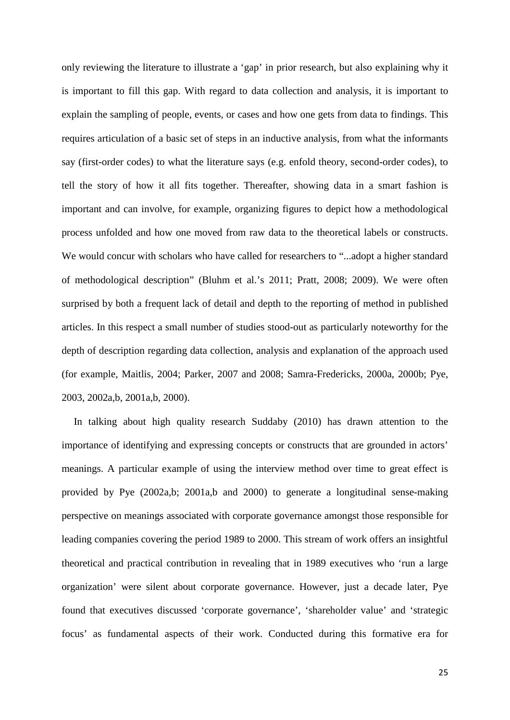only reviewing the literature to illustrate a 'gap' in prior research, but also explaining why it is important to fill this gap. With regard to data collection and analysis, it is important to explain the sampling of people, events, or cases and how one gets from data to findings. This requires articulation of a basic set of steps in an inductive analysis, from what the informants say (first-order codes) to what the literature says (e.g. enfold theory, second-order codes), to tell the story of how it all fits together. Thereafter, showing data in a smart fashion is important and can involve, for example, organizing figures to depict how a methodological process unfolded and how one moved from raw data to the theoretical labels or constructs. We would concur with scholars who have called for researchers to "...adopt a higher standard of methodological description" (Bluhm et al.'s 2011; Pratt, 2008; 2009). We were often surprised by both a frequent lack of detail and depth to the reporting of method in published articles. In this respect a small number of studies stood-out as particularly noteworthy for the depth of description regarding data collection, analysis and explanation of the approach used (for example, Maitlis, 2004; Parker, 2007 and 2008; Samra-Fredericks, 2000a, 2000b; Pye, 2003, 2002a,b, 2001a,b, 2000).

In talking about high quality research Suddaby (2010) has drawn attention to the importance of identifying and expressing concepts or constructs that are grounded in actors' meanings. A particular example of using the interview method over time to great effect is provided by Pye (2002a,b; 2001a,b and 2000) to generate a longitudinal sense-making perspective on meanings associated with corporate governance amongst those responsible for leading companies covering the period 1989 to 2000. This stream of work offers an insightful theoretical and practical contribution in revealing that in 1989 executives who 'run a large organization' were silent about corporate governance. However, just a decade later, Pye found that executives discussed 'corporate governance', 'shareholder value' and 'strategic focus' as fundamental aspects of their work. Conducted during this formative era for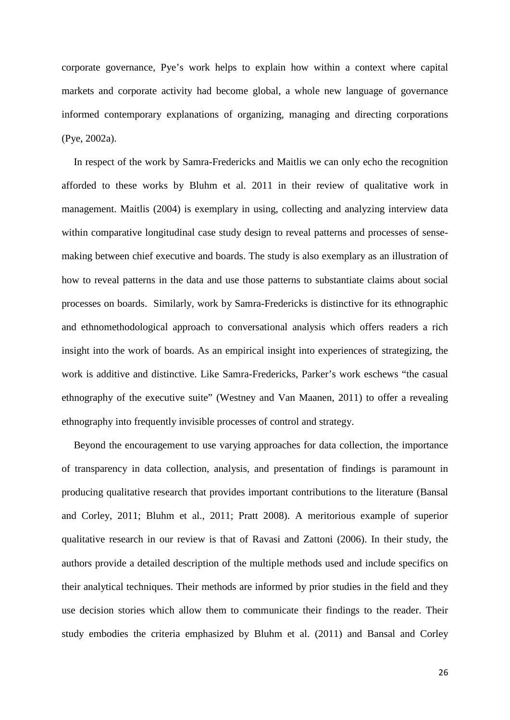corporate governance, Pye's work helps to explain how within a context where capital markets and corporate activity had become global, a whole new language of governance informed contemporary explanations of organizing, managing and directing corporations (Pye, 2002a).

In respect of the work by Samra-Fredericks and Maitlis we can only echo the recognition afforded to these works by Bluhm et al. 2011 in their review of qualitative work in management. Maitlis (2004) is exemplary in using, collecting and analyzing interview data within comparative longitudinal case study design to reveal patterns and processes of sensemaking between chief executive and boards. The study is also exemplary as an illustration of how to reveal patterns in the data and use those patterns to substantiate claims about social processes on boards. Similarly, work by Samra-Fredericks is distinctive for its ethnographic and ethnomethodological approach to conversational analysis which offers readers a rich insight into the work of boards. As an empirical insight into experiences of strategizing, the work is additive and distinctive. Like Samra-Fredericks, Parker's work eschews "the casual ethnography of the executive suite" (Westney and Van Maanen, 2011) to offer a revealing ethnography into frequently invisible processes of control and strategy.

Beyond the encouragement to use varying approaches for data collection, the importance of transparency in data collection, analysis, and presentation of findings is paramount in producing qualitative research that provides important contributions to the literature (Bansal and Corley, 2011; Bluhm et al., 2011; Pratt 2008). A meritorious example of superior qualitative research in our review is that of Ravasi and Zattoni (2006). In their study, the authors provide a detailed description of the multiple methods used and include specifics on their analytical techniques. Their methods are informed by prior studies in the field and they use decision stories which allow them to communicate their findings to the reader. Their study embodies the criteria emphasized by Bluhm et al. (2011) and Bansal and Corley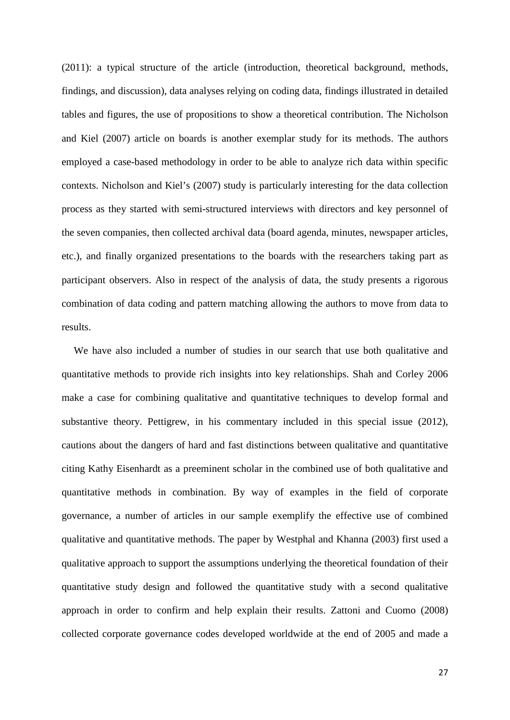(2011): a typical structure of the article (introduction, theoretical background, methods, findings, and discussion), data analyses relying on coding data, findings illustrated in detailed tables and figures, the use of propositions to show a theoretical contribution. The Nicholson and Kiel (2007) article on boards is another exemplar study for its methods. The authors employed a case-based methodology in order to be able to analyze rich data within specific contexts. Nicholson and Kiel's (2007) study is particularly interesting for the data collection process as they started with semi-structured interviews with directors and key personnel of the seven companies, then collected archival data (board agenda, minutes, newspaper articles, etc.), and finally organized presentations to the boards with the researchers taking part as participant observers. Also in respect of the analysis of data, the study presents a rigorous combination of data coding and pattern matching allowing the authors to move from data to results.

We have also included a number of studies in our search that use both qualitative and quantitative methods to provide rich insights into key relationships. Shah and Corley 2006 make a case for combining qualitative and quantitative techniques to develop formal and substantive theory. Pettigrew, in his commentary included in this special issue (2012), cautions about the dangers of hard and fast distinctions between qualitative and quantitative citing Kathy Eisenhardt as a preeminent scholar in the combined use of both qualitative and quantitative methods in combination. By way of examples in the field of corporate governance, a number of articles in our sample exemplify the effective use of combined qualitative and quantitative methods. The paper by Westphal and Khanna (2003) first used a qualitative approach to support the assumptions underlying the theoretical foundation of their quantitative study design and followed the quantitative study with a second qualitative approach in order to confirm and help explain their results. Zattoni and Cuomo (2008) collected corporate governance codes developed worldwide at the end of 2005 and made a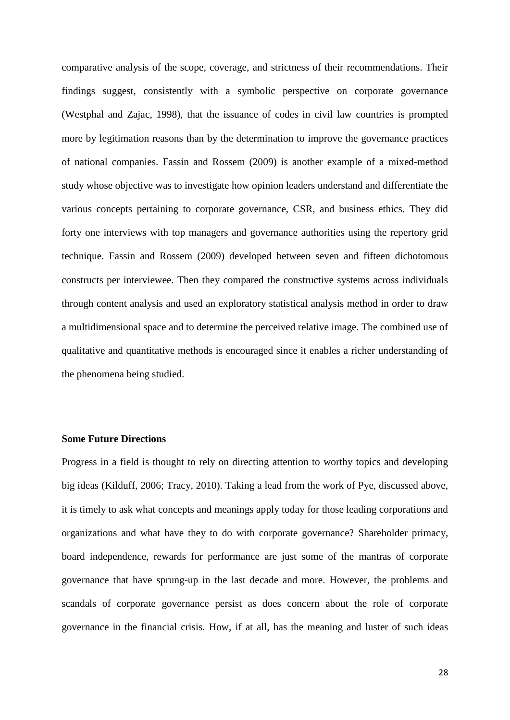comparative analysis of the scope, coverage, and strictness of their recommendations. Their findings suggest, consistently with a symbolic perspective on corporate governance (Westphal and Zajac, 1998), that the issuance of codes in civil law countries is prompted more by legitimation reasons than by the determination to improve the governance practices of national companies. Fassin and Rossem (2009) is another example of a mixed-method study whose objective was to investigate how opinion leaders understand and differentiate the various concepts pertaining to corporate governance, CSR, and business ethics. They did forty one interviews with top managers and governance authorities using the repertory grid technique. Fassin and Rossem (2009) developed between seven and fifteen dichotomous constructs per interviewee. Then they compared the constructive systems across individuals through content analysis and used an exploratory statistical analysis method in order to draw a multidimensional space and to determine the perceived relative image. The combined use of qualitative and quantitative methods is encouraged since it enables a richer understanding of the phenomena being studied.

# **Some Future Directions**

Progress in a field is thought to rely on directing attention to worthy topics and developing big ideas (Kilduff, 2006; Tracy, 2010). Taking a lead from the work of Pye, discussed above, it is timely to ask what concepts and meanings apply today for those leading corporations and organizations and what have they to do with corporate governance? Shareholder primacy, board independence, rewards for performance are just some of the mantras of corporate governance that have sprung-up in the last decade and more. However, the problems and scandals of corporate governance persist as does concern about the role of corporate governance in the financial crisis. How, if at all, has the meaning and luster of such ideas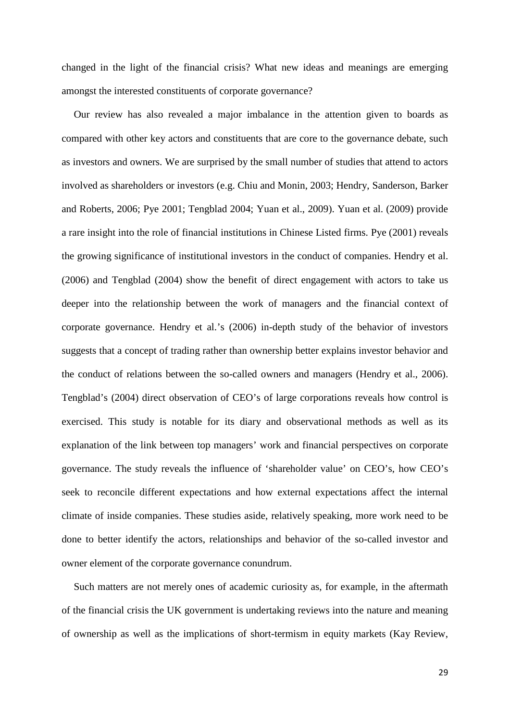changed in the light of the financial crisis? What new ideas and meanings are emerging amongst the interested constituents of corporate governance?

Our review has also revealed a major imbalance in the attention given to boards as compared with other key actors and constituents that are core to the governance debate, such as investors and owners. We are surprised by the small number of studies that attend to actors involved as shareholders or investors (e.g. Chiu and Monin, 2003; Hendry, Sanderson, Barker and Roberts, 2006; Pye 2001; Tengblad 2004; Yuan et al., 2009). Yuan et al. (2009) provide a rare insight into the role of financial institutions in Chinese Listed firms. Pye (2001) reveals the growing significance of institutional investors in the conduct of companies. Hendry et al. (2006) and Tengblad (2004) show the benefit of direct engagement with actors to take us deeper into the relationship between the work of managers and the financial context of corporate governance. Hendry et al.'s (2006) in-depth study of the behavior of investors suggests that a concept of trading rather than ownership better explains investor behavior and the conduct of relations between the so-called owners and managers (Hendry et al., 2006). Tengblad's (2004) direct observation of CEO's of large corporations reveals how control is exercised. This study is notable for its diary and observational methods as well as its explanation of the link between top managers' work and financial perspectives on corporate governance. The study reveals the influence of 'shareholder value' on CEO's, how CEO's seek to reconcile different expectations and how external expectations affect the internal climate of inside companies. These studies aside, relatively speaking, more work need to be done to better identify the actors, relationships and behavior of the so-called investor and owner element of the corporate governance conundrum.

Such matters are not merely ones of academic curiosity as, for example, in the aftermath of the financial crisis the UK government is undertaking reviews into the nature and meaning of ownership as well as the implications of short-termism in equity markets (Kay Review,

29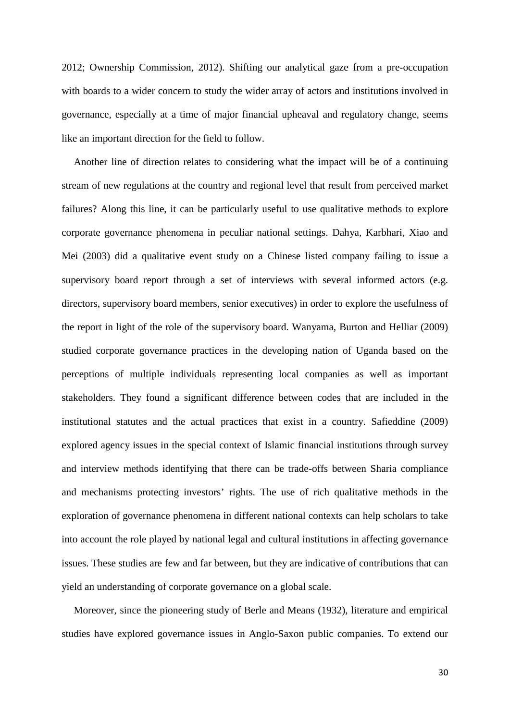2012; Ownership Commission, 2012). Shifting our analytical gaze from a pre-occupation with boards to a wider concern to study the wider array of actors and institutions involved in governance, especially at a time of major financial upheaval and regulatory change, seems like an important direction for the field to follow.

Another line of direction relates to considering what the impact will be of a continuing stream of new regulations at the country and regional level that result from perceived market failures? Along this line, it can be particularly useful to use qualitative methods to explore corporate governance phenomena in peculiar national settings. Dahya, Karbhari, Xiao and Mei (2003) did a qualitative event study on a Chinese listed company failing to issue a supervisory board report through a set of interviews with several informed actors (e.g. directors, supervisory board members, senior executives) in order to explore the usefulness of the report in light of the role of the supervisory board. Wanyama, Burton and Helliar (2009) studied corporate governance practices in the developing nation of Uganda based on the perceptions of multiple individuals representing local companies as well as important stakeholders. They found a significant difference between codes that are included in the institutional statutes and the actual practices that exist in a country. Safieddine (2009) explored agency issues in the special context of Islamic financial institutions through survey and interview methods identifying that there can be trade-offs between Sharia compliance and mechanisms protecting investors' rights. The use of rich qualitative methods in the exploration of governance phenomena in different national contexts can help scholars to take into account the role played by national legal and cultural institutions in affecting governance issues. These studies are few and far between, but they are indicative of contributions that can yield an understanding of corporate governance on a global scale.

Moreover, since the pioneering study of Berle and Means (1932), literature and empirical studies have explored governance issues in Anglo-Saxon public companies. To extend our

30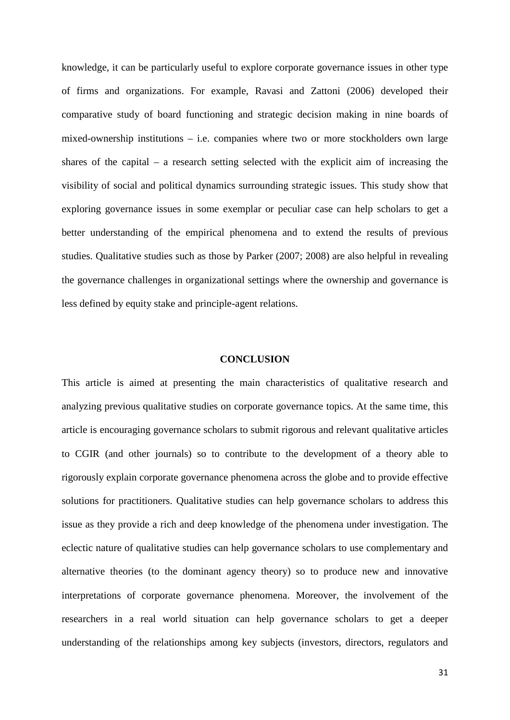knowledge, it can be particularly useful to explore corporate governance issues in other type of firms and organizations. For example, Ravasi and Zattoni (2006) developed their comparative study of board functioning and strategic decision making in nine boards of mixed-ownership institutions – i.e. companies where two or more stockholders own large shares of the capital – a research setting selected with the explicit aim of increasing the visibility of social and political dynamics surrounding strategic issues. This study show that exploring governance issues in some exemplar or peculiar case can help scholars to get a better understanding of the empirical phenomena and to extend the results of previous studies. Qualitative studies such as those by Parker (2007; 2008) are also helpful in revealing the governance challenges in organizational settings where the ownership and governance is less defined by equity stake and principle-agent relations.

#### **CONCLUSION**

This article is aimed at presenting the main characteristics of qualitative research and analyzing previous qualitative studies on corporate governance topics. At the same time, this article is encouraging governance scholars to submit rigorous and relevant qualitative articles to CGIR (and other journals) so to contribute to the development of a theory able to rigorously explain corporate governance phenomena across the globe and to provide effective solutions for practitioners. Qualitative studies can help governance scholars to address this issue as they provide a rich and deep knowledge of the phenomena under investigation. The eclectic nature of qualitative studies can help governance scholars to use complementary and alternative theories (to the dominant agency theory) so to produce new and innovative interpretations of corporate governance phenomena. Moreover, the involvement of the researchers in a real world situation can help governance scholars to get a deeper understanding of the relationships among key subjects (investors, directors, regulators and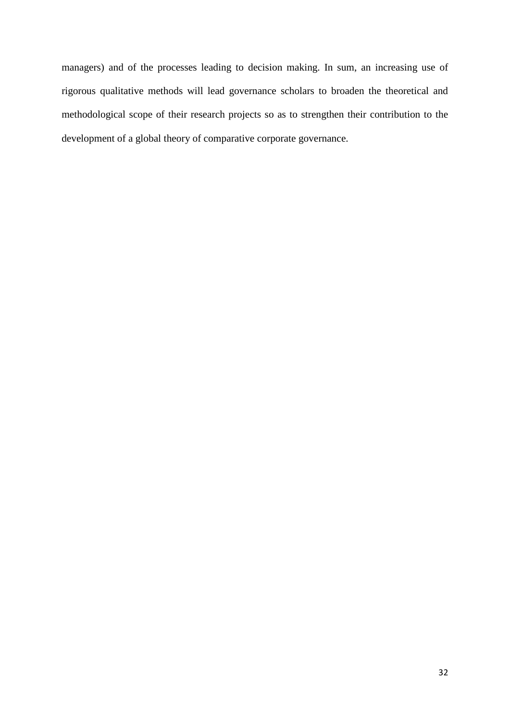managers) and of the processes leading to decision making. In sum, an increasing use of rigorous qualitative methods will lead governance scholars to broaden the theoretical and methodological scope of their research projects so as to strengthen their contribution to the development of a global theory of comparative corporate governance.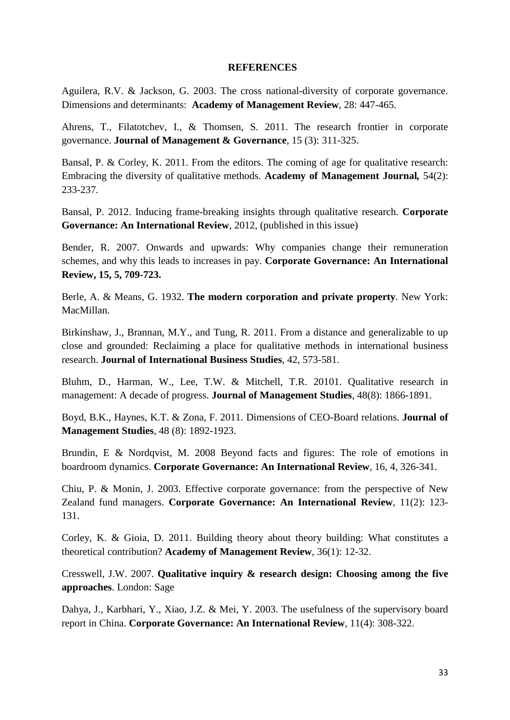## **REFERENCES**

Aguilera, R.V. & Jackson, G. 2003. The cross national-diversity of corporate governance. Dimensions and determinants: **Academy of Management Review**, 28: 447-465.

Ahrens, T., Filatotchev, I., & Thomsen, S. 2011. The research [frontier in corporate](http://web.ebscohost.com/ehost/viewarticle?data=dGJyMPPp44rp2%2fdV0%2bnjisfk5Ie46bBRsqq1SbGk343y3qx68t6%2bTa2os0ewpq9Knqq4S7ewr1Cet8s%2b8ujfhvHX4Yzn5eyB4rOrS7Wqs0uwrbZRpOLfhuWz44ak2uBV4OrmPvLX5VW%2fxKR57LO0TLKntkizqaR%2b7ejrefKz5I3q4vJ99uoA&hid=108)  [governance.](http://web.ebscohost.com/ehost/viewarticle?data=dGJyMPPp44rp2%2fdV0%2bnjisfk5Ie46bBRsqq1SbGk343y3qx68t6%2bTa2os0ewpq9Knqq4S7ewr1Cet8s%2b8ujfhvHX4Yzn5eyB4rOrS7Wqs0uwrbZRpOLfhuWz44ak2uBV4OrmPvLX5VW%2fxKR57LO0TLKntkizqaR%2b7ejrefKz5I3q4vJ99uoA&hid=108) **Journal of Management & Governance**, 15 (3): 311-325.

Bansal, P. & Corley, K. 2011. From the editors. The coming of age for qualitative research: Embracing the diversity of qualitative methods. **Academy of Management Journal***,* 54(2): 233-237.

Bansal, P. 2012. Inducing frame-breaking insights through qualitative research. **Corporate Governance: An International Review**, 2012, (published in this issue)

Bender, R. 2007. Onwards and upwards: Why companies change their remuneration schemes, and why this leads to increases in pay. **Corporate Governance: An International Review, 15, 5, 709-723.**

Berle, A. & Means, G. 1932. **The modern corporation and private property***.* New York: MacMillan.

Birkinshaw, J., Brannan, M.Y., and Tung, R. 2011. From a distance and generalizable to up close and grounded: Reclaiming a place for qualitative methods in international business research. **Journal of International Business Studies**, 42, 573-581.

Bluhm, D., Harman, W., Lee, T.W. & Mitchell, T.R. 20101. Qualitative research in management: A decade of progress. **Journal of Management Studies**, 48(8): 1866-1891.

Boyd, B.K., Haynes, K.T. & Zona, F. 2011. [Dimensions of CEO-Board relations.](http://web.ebscohost.com/ehost/viewarticle?data=dGJyMPPp44rp2%2fdV0%2bnjisfk5Ie46bBRsqq1SbGk343y3qx68t6%2bTa2os0ewpq9Knqq4S7ewr1Cet8s%2b8ujfhvHX4Yzn5eyB4rOrS7Wqs0uwrbZRpOLfhuWz44ak2uBV4OrmPvLX5VW%2fxKR57LO0TrStslC3qKR%2b7ejrefKz5I3q4vJ99uoA&hid=108) **Journal of Management Studies**, 48 (8): 1892-1923.

Brundin, E & Nordqvist, M. 2008 Beyond facts and figures: The role of emotions in boardroom dynamics. **Corporate Governance: An International Review**, 16, 4, 326-341.

Chiu, P. & Monin, J. 2003. [Effective corporate governance: from the perspective of New](http://web.ebscohost.com/ehost/viewarticle?data=dGJyMPPp44rp2%2fdV0%2bnjisfk5Ie46bBRsqq1SbGk343y3qx68t6%2bTq2srUqup7A4r7CyUbipszi%2fw6SM8Nfsi9%2fZ8oHt5Od8u6ezSLWvsU21rbA%2b6tfsf7vb7D7i2Lt68t6kjN%2fdu1nMnN%2bGu6euSLKusE6ynOSH8OPfjLvc84Tq6uOQ8gAA&hid=104)  [Zealand fund managers.](http://web.ebscohost.com/ehost/viewarticle?data=dGJyMPPp44rp2%2fdV0%2bnjisfk5Ie46bBRsqq1SbGk343y3qx68t6%2bTq2srUqup7A4r7CyUbipszi%2fw6SM8Nfsi9%2fZ8oHt5Od8u6ezSLWvsU21rbA%2b6tfsf7vb7D7i2Lt68t6kjN%2fdu1nMnN%2bGu6euSLKusE6ynOSH8OPfjLvc84Tq6uOQ8gAA&hid=104) **Corporate Governance: An International Review**, 11(2): 123- 131.

Corley, K. & Gioia, D. 2011. Building theory about theory building: What constitutes a theoretical contribution? **Academy of Management Review**, 36(1): 12-32.

Cresswell, J.W. 2007. **Qualitative inquiry & research design: Choosing among the five approaches**. London: Sage

Dahya, J., Karbhari, Y., Xiao, J.Z. & Mei, Y. 2003. [The usefulness of the supervisory board](http://web.ebscohost.com/ehost/viewarticle?data=dGJyMPPp44rp2%2fdV0%2bnjisfk5Ie46bBRsqq1SbGk343y3qx68t6%2bTq2srUqup7A4r7CyUbipszi%2fw6SM8Nfsi9%2fZ8oHt5Od8u6ezSLWvsU21rbA%2b6tfsf7vb7D7i2Lt68t6kjN%2fdu1nMnN%2bGu6euT7entVC1nOSH8OPfjLvc84Tq6uOQ8gAA&hid=104)  [report in China.](http://web.ebscohost.com/ehost/viewarticle?data=dGJyMPPp44rp2%2fdV0%2bnjisfk5Ie46bBRsqq1SbGk343y3qx68t6%2bTq2srUqup7A4r7CyUbipszi%2fw6SM8Nfsi9%2fZ8oHt5Od8u6ezSLWvsU21rbA%2b6tfsf7vb7D7i2Lt68t6kjN%2fdu1nMnN%2bGu6euT7entVC1nOSH8OPfjLvc84Tq6uOQ8gAA&hid=104) **Corporate Governance: An International Review**, 11(4): 308-322.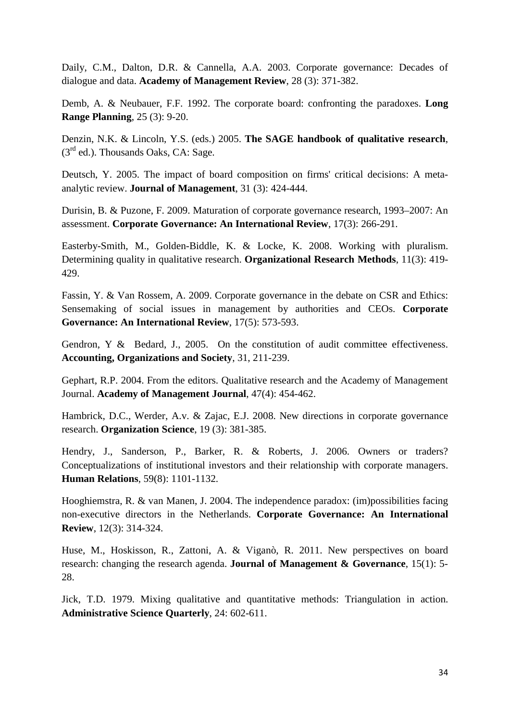Daily, C.M., Dalton, D.R. & Cannella, A.A. 2003. [Corporate governance: Decades of](http://web.ebscohost.com/ehost/viewarticle?data=dGJyMPPp44rp2%2fdV0%2bnjisfk5Ie46bBRsqq1SbGk343y3qx68t6%2bTa2os0ewpq9Knqi4S7Swsk6exss%2b8ujfhvHX4Yzn5eyB4rOrS7SrrkmuprFIpOLfhuWz44ak2uBV4OrmPvLX5VW%2fxKR57LOvSK%2bvtE%2buqaR%2b7ejrefKz5I3q4vJ99uoA&hid=125)  [dialogue and data.](http://web.ebscohost.com/ehost/viewarticle?data=dGJyMPPp44rp2%2fdV0%2bnjisfk5Ie46bBRsqq1SbGk343y3qx68t6%2bTa2os0ewpq9Knqi4S7Swsk6exss%2b8ujfhvHX4Yzn5eyB4rOrS7SrrkmuprFIpOLfhuWz44ak2uBV4OrmPvLX5VW%2fxKR57LOvSK%2bvtE%2buqaR%2b7ejrefKz5I3q4vJ99uoA&hid=125) **Academy of Management Review**, 28 (3): 371-382.

Demb, A. & Neubauer, F.F. 1992. [The corporate board: confronting the paradoxes.](http://web.ebscohost.com/ehost/viewarticle?data=dGJyMPPp44rp2%2fdV0%2bnjisfk5Ie46bBRsqq1SbGk343y3qx68t6%2bTq2rrUqup7A4sLCwUbimsTjOw6SM8Nfsi9%2fZ8oHt5Od8u6OxUa6pt1GynOp57N27feyc4nq72PKApOrff7u3zD7f5LtJsKmzSbCstj7k5fCF3%2bq7fvPi6ozj7vIA&hid=111) **Long Range Planning**, 25 (3): 9-20.

Denzin, N.K. & Lincoln, Y.S. (eds.) 2005. **The SAGE handbook of qualitative research**,  $(3<sup>rd</sup>$  ed.). Thousands Oaks, CA: Sage.

Deutsch, Y. 2005. The impact of board [composition on firms' critical decisions: A meta](http://web.ebscohost.com/ehost/viewarticle?data=dGJyMPPp44rp2%2fdV0%2bnjisfk5Ie46bBRsqq1SbGk343y3qx68t6%2bTa2os0ewpq9Knqq4S7ewr1Cet8s%2b8ujfhvHX4Yzn5eyB4rOrS7Wqs0uwrbZRpOLfhuWz44ak2uBV4OrmPvLX5VW%2fxKR57LOvT6%2bttEy2qqR%2b7ejrefKz5I3q4vJ99uoA&hid=108)[analytic review.](http://web.ebscohost.com/ehost/viewarticle?data=dGJyMPPp44rp2%2fdV0%2bnjisfk5Ie46bBRsqq1SbGk343y3qx68t6%2bTa2os0ewpq9Knqq4S7ewr1Cet8s%2b8ujfhvHX4Yzn5eyB4rOrS7Wqs0uwrbZRpOLfhuWz44ak2uBV4OrmPvLX5VW%2fxKR57LOvT6%2bttEy2qqR%2b7ejrefKz5I3q4vJ99uoA&hid=108) **Journal of Management**, 31 (3): 424-444.

Durisin, B. & Puzone, F. 2009. [Maturation of corporate governance research, 1993–2007: An](http://web.ebscohost.com/ehost/viewarticle?data=dGJyMPPp44rp2%2fdV0%2bnjisfk5Ie46bBRsqq1SbGk343y3qx68t6%2bTa2os0ewpq9Knqq4S7ewr1Cet8s%2b8ujfhvHX4Yzn5eyB4rOrS7Wqs0uwrbZRpOLfhuWz44ak2uBV4OrmPvLX5VW%2fxKR57LOySbCotkuupqR%2b7ejrefKz5I3q4vJ99uoA&hid=108)  [assessment.](http://web.ebscohost.com/ehost/viewarticle?data=dGJyMPPp44rp2%2fdV0%2bnjisfk5Ie46bBRsqq1SbGk343y3qx68t6%2bTa2os0ewpq9Knqq4S7ewr1Cet8s%2b8ujfhvHX4Yzn5eyB4rOrS7Wqs0uwrbZRpOLfhuWz44ak2uBV4OrmPvLX5VW%2fxKR57LOySbCotkuupqR%2b7ejrefKz5I3q4vJ99uoA&hid=108) **Corporate Governance: An International Review**, 17(3): 266-291.

Easterby-Smith, M., Golden-Biddle, K. & Locke, K. 2008. Working with pluralism. Determining quality in qualitative research. **Organizational Research Methods**, 11(3): 419- 429.

Fassin, Y. & Van Rossem, A. 2009. [Corporate governance in the debate on CSR and Ethics:](http://web.ebscohost.com/ehost/viewarticle?data=dGJyMPPp44rp2%2fdV0%2bnjisfk5Ie46bBRsqq1SbGk343y3qx68t6%2bTq2trUqup7A4sLCxT7imtTi%2fw6SM8Nfsi9%2fZ8oHt5Od8u6OvTbSqs0%2byr7JRpOLfhuWz44ak2uBV4OrmPvLX5VW%2fxKR57LOyTK6vtk62p6R%2b7ejrefKz5I3q4vJ99uoA&hid=123)  [Sensemaking of social issues in management by authorities and CEOs.](http://web.ebscohost.com/ehost/viewarticle?data=dGJyMPPp44rp2%2fdV0%2bnjisfk5Ie46bBRsqq1SbGk343y3qx68t6%2bTq2trUqup7A4sLCxT7imtTi%2fw6SM8Nfsi9%2fZ8oHt5Od8u6OvTbSqs0%2byr7JRpOLfhuWz44ak2uBV4OrmPvLX5VW%2fxKR57LOyTK6vtk62p6R%2b7ejrefKz5I3q4vJ99uoA&hid=123) **Corporate Governance: An International Review**, 17(5): 573-593.

Gendron, Y & Bedard, J., 2005. On the constitution of audit committee effectiveness. **Accounting, Organizations and Society**, 31, 211-239.

Gephart, R.P. 2004. From the editors. Qualitative research and the Academy of Management Journal. **Academy of Management Journal**, 47(4): 454-462.

Hambrick, D.C., Werder, A.v. & Zajac, E.J. 2008. [New directions in corporate governance](http://web.ebscohost.com/ehost/viewarticle?data=dGJyMPPp44rp2%2fdV0%2bnjisfk5Ie46bBRsqq1SbGk343y3qx68t6%2bTa2os0ewpq9Knqq4S7ewr1Cet8s%2b8ujfhvHX4Yzn5eyB4rOrS7Wqs0uwrbZRpOLfhuWz44ak2uBV4OrmPvLX5VW%2fxKR57LOxSq%2bstFCwqaR%2b7ejrefKz5I3q4vJ99uoA&hid=108)  [research.](http://web.ebscohost.com/ehost/viewarticle?data=dGJyMPPp44rp2%2fdV0%2bnjisfk5Ie46bBRsqq1SbGk343y3qx68t6%2bTa2os0ewpq9Knqq4S7ewr1Cet8s%2b8ujfhvHX4Yzn5eyB4rOrS7Wqs0uwrbZRpOLfhuWz44ak2uBV4OrmPvLX5VW%2fxKR57LOxSq%2bstFCwqaR%2b7ejrefKz5I3q4vJ99uoA&hid=108) **Organization Science**, 19 (3): 381-385.

Hendry, J., Sanderson, P., Barker, R. & Roberts, J. 2006. [Owners or traders?](http://web.ebscohost.com/ehost/viewarticle?data=dGJyMPPp44rp2%2fdV0%2bnjisfk5Ie46bBRsqq1SbGk343y3qx68t6%2bTq2srUqup7A4r7CyUbipszi%2fw6SM8Nfsi9%2fZ8oHt5Od8u6ezSLWvsU21rbA%2b6tfsf7vb7D7i2Lt68t6kjN%2fdu1nMnN%2bGu6iwUbGmrkixnOSH8OPfjLvc84Tq6uOQ8gAA&hid=104)  Conceptualizations of institutional investors [and their relationship with corporate managers.](http://web.ebscohost.com/ehost/viewarticle?data=dGJyMPPp44rp2%2fdV0%2bnjisfk5Ie46bBRsqq1SbGk343y3qx68t6%2bTq2srUqup7A4r7CyUbipszi%2fw6SM8Nfsi9%2fZ8oHt5Od8u6ezSLWvsU21rbA%2b6tfsf7vb7D7i2Lt68t6kjN%2fdu1nMnN%2bGu6iwUbGmrkixnOSH8OPfjLvc84Tq6uOQ8gAA&hid=104) **Human Relations**, 59(8): 1101-1132.

Hooghiemstra, R. & van Manen, J. 2004. [The independence paradox: \(im\)possibilities facing](http://web.ebscohost.com/ehost/viewarticle?data=dGJyMPPp44rp2%2fdV0%2bnjisfk5Ie46bBRsqq1SbGk343y3qx68t6%2bTq2srUqup7A4sbCyTrirrzi%2fw6SM8Nfsi9%2fZ8oHt5Od8u6ezSLWvsU21rbA%2b6tfsf7vb7D7i2Lt68t6kjN%2fdu1nMnN%2bGu6exTLOqr0y1nOSH8OPfjLvc84Tq6uOQ8gAA&hid=104)  [non-executive directors in the Netherlands.](http://web.ebscohost.com/ehost/viewarticle?data=dGJyMPPp44rp2%2fdV0%2bnjisfk5Ie46bBRsqq1SbGk343y3qx68t6%2bTq2srUqup7A4sbCyTrirrzi%2fw6SM8Nfsi9%2fZ8oHt5Od8u6ezSLWvsU21rbA%2b6tfsf7vb7D7i2Lt68t6kjN%2fdu1nMnN%2bGu6exTLOqr0y1nOSH8OPfjLvc84Tq6uOQ8gAA&hid=104) **Corporate Governance: An International Review**, 12(3): 314-324.

Huse, M., Hoskisson, R., Zattoni, A. & Viganò, R. 2011. [New perspectives on board](http://web.ebscohost.com/ehost/viewarticle?data=dGJyMPPp44rp2%2fdV0%2bnjisfk5Ie46bBRsqq1SbGk343y3qx68t6%2bTq2rrUqup7A4sLCwUbimsTjOw6SM8Nfsi9%2fZ8oHt5Od8u6OxUa6pt1GynOp57N27feyc4nq72PKApOrff7u3zD7f5LtNtaquT7Wptj7k5fCF3%2bq7fvPi6ozj7vIA&hid=111)  [research: changing the research agenda.](http://web.ebscohost.com/ehost/viewarticle?data=dGJyMPPp44rp2%2fdV0%2bnjisfk5Ie46bBRsqq1SbGk343y3qx68t6%2bTq2rrUqup7A4sLCwUbimsTjOw6SM8Nfsi9%2fZ8oHt5Od8u6OxUa6pt1GynOp57N27feyc4nq72PKApOrff7u3zD7f5LtNtaquT7Wptj7k5fCF3%2bq7fvPi6ozj7vIA&hid=111) **Journal of Management & Governance**, 15(1): 5- 28.

Jick, T.D. 1979. Mixing qualitative and quantitative methods: Triangulation in action. **Administrative Science Quarterly**, 24: 602-611.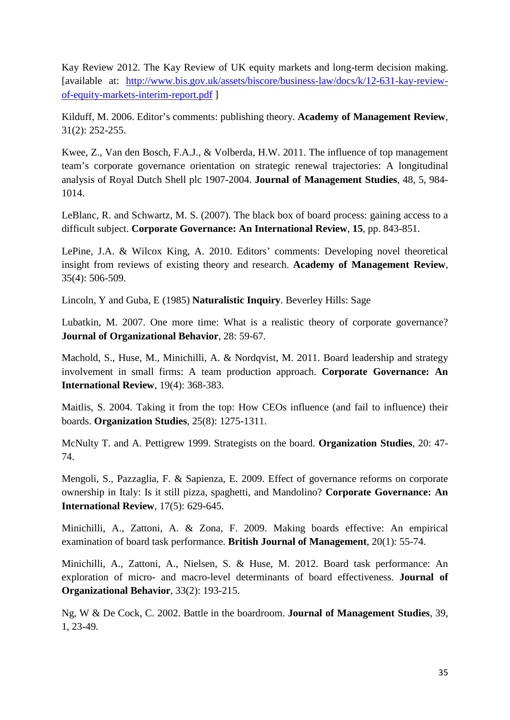Kay Review 2012. The Kay Review of UK equity markets and long-term decision making. [available at: [http://www.bis.gov.uk/assets/biscore/business-law/docs/k/12-631-kay-review](http://www.bis.gov.uk/assets/biscore/business-law/docs/k/12-631-kay-review-of-equity-markets-interim-report.pdf)[of-equity-markets-interim-report.pdf](http://www.bis.gov.uk/assets/biscore/business-law/docs/k/12-631-kay-review-of-equity-markets-interim-report.pdf) ]

Kilduff, M. 2006. Editor's comments: publishing theory. **Academy of Management Review**, 31(2): 252-255.

Kwee, Z., Van den Bosch, F.A.J., & Volberda, H.W. 2011. The influence of top management team's corporate governance orientation on strategic renewal trajectories: A longitudinal analysis of Royal Dutch Shell plc 1907-2004. **Journal of Management Studies**, 48, 5, 984- 1014.

LeBlanc, R. and Schwartz, M. S. (2007). The black box of board process: gaining access to a difficult subject. **Corporate Governance: An International Review**, **15**, pp. 843-851.

LePine, J.A. & Wilcox King, A. 2010. Editors' comments: Developing novel theoretical insight from reviews of existing theory and research. **Academy of Management Review**, 35(4): 506-509.

Lincoln, Y and Guba, E (1985) **Naturalistic Inquiry**. Beverley Hills: Sage

Lubatkin, M. 2007. One more time: What is a realistic theory of corporate governance? **Journal of Organizational Behavior**, 28: 59-67.

Machold, S., Huse, M., Minichilli, A. & Nordqvist, M. 2011. [Board leadership and strategy](http://web.ebscohost.com/ehost/viewarticle?data=dGJyMPPp44rp2%2fdV0%2bnjisfk5Ie46bBRsqq1SbGk343y3qx68t6%2bTq2srUqup7A4sbCuTLiqtTi%2fw6SM8Nfsi9%2fZ8oHt5Od8u6ezSLWvsU21rbA%2b6tfsf7vb7D7i2Lt68t6kjN%2fdu1nMnN%2bGu6ywS7Ostki3nOSH8OPfjLvc84Tq6uOQ8gAA&hid=104)  [involvement in small firms: A team production approach.](http://web.ebscohost.com/ehost/viewarticle?data=dGJyMPPp44rp2%2fdV0%2bnjisfk5Ie46bBRsqq1SbGk343y3qx68t6%2bTq2srUqup7A4sbCuTLiqtTi%2fw6SM8Nfsi9%2fZ8oHt5Od8u6ezSLWvsU21rbA%2b6tfsf7vb7D7i2Lt68t6kjN%2fdu1nMnN%2bGu6ywS7Ostki3nOSH8OPfjLvc84Tq6uOQ8gAA&hid=104) **Corporate Governance: An International Review**, 19(4): 368-383.

Maitlis, S. 2004. Taking it from the top: How CEOs influence (and fail to influence) their boards. **Organization Studies**, 25(8): 1275-1311.

McNulty T. and A. Pettigrew 1999. Strategists on the board. **Organization Studies**, 20: 47- 74.

Mengoli, S., Pazzaglia, F. & Sapienza, E. 2009. [Effect of governance reforms on corporate](http://web.ebscohost.com/ehost/viewarticle?data=dGJyMPPp44rp2%2fdV0%2bnjisfk5Ie46bBRsqq1SbGk343y3qx68t6%2bTq2srUqup7A4sbCyTrirrzi%2fw6SM8Nfsi9%2fZ8oHt5Od8u6ezSLWvsU21rbA%2b6tfsf7vb7D7i2Lt68t6kjN%2fdu1nMnN%2bGu6qySLeutE%2b2nOSH8OPfjLvc84Tq6uOQ8gAA&hid=104)  [ownership in Italy: Is it still pizza, spaghetti, and Mandolino?](http://web.ebscohost.com/ehost/viewarticle?data=dGJyMPPp44rp2%2fdV0%2bnjisfk5Ie46bBRsqq1SbGk343y3qx68t6%2bTq2srUqup7A4sbCyTrirrzi%2fw6SM8Nfsi9%2fZ8oHt5Od8u6ezSLWvsU21rbA%2b6tfsf7vb7D7i2Lt68t6kjN%2fdu1nMnN%2bGu6qySLeutE%2b2nOSH8OPfjLvc84Tq6uOQ8gAA&hid=104) **Corporate Governance: An International Review**, 17(5): 629-645.

Minichilli, A., Zattoni, A. & Zona, F. 2009. [Making boards effective: An empirical](http://web.ebscohost.com/ehost/viewarticle?data=dGJyMPPp44rp2%2fdV0%2bnjisfk5Ie46bBRsqq1SbGk343y3qx68t6%2bTq2srUqup7A4sbCuTLiqtTi%2fw6SM8Nfsi9%2fZ8oHt5Od8u6ezSLWvsU21rbA%2b6tfsf7vb7D7i2Lt68t6kjN%2fdu1nMnN%2bGu6m0S7Cpt0qynOSH8OPfjLvc84Tq6uOQ8gAA&hid=104)  [examination of board task performance.](http://web.ebscohost.com/ehost/viewarticle?data=dGJyMPPp44rp2%2fdV0%2bnjisfk5Ie46bBRsqq1SbGk343y3qx68t6%2bTq2srUqup7A4sbCuTLiqtTi%2fw6SM8Nfsi9%2fZ8oHt5Od8u6ezSLWvsU21rbA%2b6tfsf7vb7D7i2Lt68t6kjN%2fdu1nMnN%2bGu6m0S7Cpt0qynOSH8OPfjLvc84Tq6uOQ8gAA&hid=104) **British Journal of Management**, 20(1): 55-74.

Minichilli, A., Zattoni, A., Nielsen, S. & Huse, M. 2012. [Board task performance: An](http://web.ebscohost.com/ehost/viewarticle?data=dGJyMPPp44rp2%2fdV0%2bnjisfk5Ie46bBRsqq1SbGk343y3qx68t6%2bTq2srUqup7A4sbCuTLiqtTi%2fw6SM8Nfsi9%2fZ8oHt5Od8u6ezSLWvsU21rbA%2b6tfsf7vb7D7i2Lt68t6kjN%2fdu1nMnN%2bGu62uSbSrsUiunOSH8OPfjLvc84Tq6uOQ8gAA&hid=104)  exploration of micro- [and macro-level determinants of board effectiveness.](http://web.ebscohost.com/ehost/viewarticle?data=dGJyMPPp44rp2%2fdV0%2bnjisfk5Ie46bBRsqq1SbGk343y3qx68t6%2bTq2srUqup7A4sbCuTLiqtTi%2fw6SM8Nfsi9%2fZ8oHt5Od8u6ezSLWvsU21rbA%2b6tfsf7vb7D7i2Lt68t6kjN%2fdu1nMnN%2bGu62uSbSrsUiunOSH8OPfjLvc84Tq6uOQ8gAA&hid=104) **Journal of Organizational Behavior**, 33(2): 193-215.

Ng, W & De Cock, C. 2002. Battle in the boardroom. **Journal of Management Studies**, 39, 1, 23-49.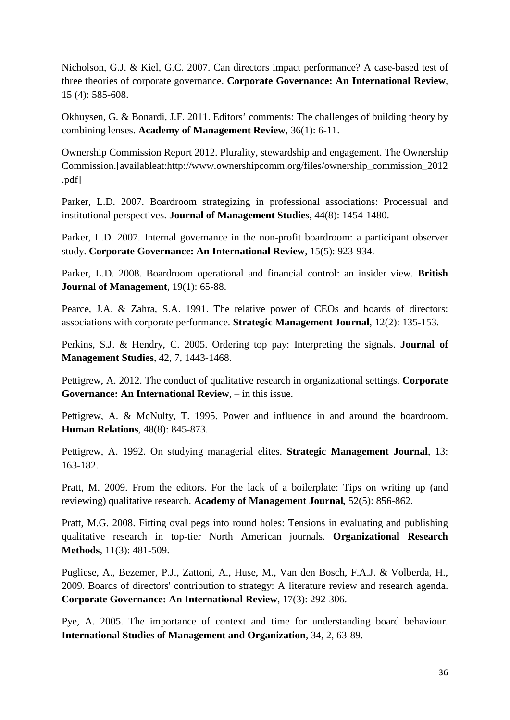Nicholson, G.J. & Kiel, G.C. 2007. [Can directors impact performance? A case-based test of](http://web.ebscohost.com/ehost/viewarticle?data=dGJyMPPp44rp2%2fdV0%2bnjisfk5Ie46bBRsqq1SbGk343y3qx68t6%2bTq2rrUqup7A4sLCwUbimsTjOw6SM8Nfsi9%2fZ8oHt5Od8u6OxUa6pt1GynOp57N27feyc4nq72PKApOrff7u3zD7f5LtKs6yvT7arsT7k5fCF3%2bq7fvPi6ozj7vIA&hid=111)  [three theories of corporate governance.](http://web.ebscohost.com/ehost/viewarticle?data=dGJyMPPp44rp2%2fdV0%2bnjisfk5Ie46bBRsqq1SbGk343y3qx68t6%2bTq2rrUqup7A4sLCwUbimsTjOw6SM8Nfsi9%2fZ8oHt5Od8u6OxUa6pt1GynOp57N27feyc4nq72PKApOrff7u3zD7f5LtKs6yvT7arsT7k5fCF3%2bq7fvPi6ozj7vIA&hid=111) **Corporate Governance: An International Review**, 15 (4): 585-608.

Okhuysen, G. & Bonardi, J.F. 2011. Editors' comments: The challenges of building theory by combining lenses. **Academy of Management Review**, 36(1): 6-11.

Ownership Commission Report 2012. Plurality, stewardship and engagement. The Ownership Commission.[availableat:http://www.ownershipcomm.org/files/ownership\_commission\_2012 .pdf]

Parker, L.D. 2007. [Boardroom strategizing in professional associations: Processual and](http://web.ebscohost.com/ehost/viewarticle?data=dGJyMPPp44rp2%2fdV0%2bnjisfk5Ie46bBRsqq1SbGk343y3qx68t6%2bTq2srUqup7A4r7CyUbipszi%2fw6SM8Nfsi9%2fZ8oHt5Od8u6ezSLWvsU21rbA%2b6tfsf7vb7D7i2Lt68t6kjN%2fdu1nMnN%2bGu6i1T6%2bosFG2nOSH8OPfjLvc84Tq6uOQ8gAA&hid=104)  [institutional perspectives.](http://web.ebscohost.com/ehost/viewarticle?data=dGJyMPPp44rp2%2fdV0%2bnjisfk5Ie46bBRsqq1SbGk343y3qx68t6%2bTq2srUqup7A4r7CyUbipszi%2fw6SM8Nfsi9%2fZ8oHt5Od8u6ezSLWvsU21rbA%2b6tfsf7vb7D7i2Lt68t6kjN%2fdu1nMnN%2bGu6i1T6%2bosFG2nOSH8OPfjLvc84Tq6uOQ8gAA&hid=104) **Journal of Management Studies**, 44(8): 1454-1480.

Parker, L.D. 2007. [Internal governance in the non-profit boardroom: a participant observer](http://web.ebscohost.com/ehost/viewarticle?data=dGJyMPPp44rp2%2fdV0%2bnjisfk5Ie46bBRsqq1SbGk343y3qx68t6%2bTq2srUqup7A4r7CyUbipszi%2fw6SM8Nfsi9%2fZ8oHt5Od8u6ezSLWvsU21rbA%2b6tfsf7vb7D7i2Lt68t6kjN%2fdu1nMnN%2bGu6i0T7WnskixnOSH8OPfjLvc84Tq6uOQ8gAA&hid=104)  [study.](http://web.ebscohost.com/ehost/viewarticle?data=dGJyMPPp44rp2%2fdV0%2bnjisfk5Ie46bBRsqq1SbGk343y3qx68t6%2bTq2srUqup7A4r7CyUbipszi%2fw6SM8Nfsi9%2fZ8oHt5Od8u6ezSLWvsU21rbA%2b6tfsf7vb7D7i2Lt68t6kjN%2fdu1nMnN%2bGu6i0T7WnskixnOSH8OPfjLvc84Tq6uOQ8gAA&hid=104) **Corporate Governance: An International Review**, 15(5): 923-934.

Parker, L.D. 2008. [Boardroom operational and financial control: an insider view.](http://web.ebscohost.com/ehost/viewarticle?data=dGJyMPPp44rp2%2fdV0%2bnjisfk5Ie46bBRsqq1SbGk343y3qx68t6%2bTq2srUqup7A4r7CyUbipszi%2fw6SM8Nfsi9%2fZ8oHt5Od8u6ezSLWvsU21rbA%2b6tfsf7vb7D7i2Lt68t6kjN%2fdu1nMnN%2bGu6i3S7SnsE6xnOSH8OPfjLvc84Tq6uOQ8gAA&hid=104) **British Journal of Management**, 19(1): 65-88.

Pearce, J.A. & Zahra, S.A. 1991. [The relative power of CEOs and boards of directors:](http://web.ebscohost.com/ehost/viewarticle?data=dGJyMPPp44rp2%2fdV0%2bnjisfk5Ie46bBRsqq1SbGk343y3qx68t6%2bTq2srUqup7A4sbCuTLiqtTi%2fw6SM8Nfsi9%2fZ8oHt5Od8u6ezSLWvsU21rbA%2b6tfsf7vb7D7i2Lt68t6kjN%2fdu1nMnN%2bGu6ewTLepsU21nOSH8OPfjLvc84Tq6uOQ8gAA&hid=104)  [associations with corporate performance.](http://web.ebscohost.com/ehost/viewarticle?data=dGJyMPPp44rp2%2fdV0%2bnjisfk5Ie46bBRsqq1SbGk343y3qx68t6%2bTq2srUqup7A4sbCuTLiqtTi%2fw6SM8Nfsi9%2fZ8oHt5Od8u6ezSLWvsU21rbA%2b6tfsf7vb7D7i2Lt68t6kjN%2fdu1nMnN%2bGu6ewTLepsU21nOSH8OPfjLvc84Tq6uOQ8gAA&hid=104) **Strategic Management Journal**, 12(2): 135-153.

Perkins, S.J. & Hendry, C. 2005. Ordering top pay: Interpreting the signals. **Journal of Management Studies**, 42, 7, 1443-1468.

Pettigrew, A. 2012. The conduct of qualitative research in organizational settings. **Corporate Governance: An International Review**, – in this issue.

Pettigrew, A. & McNulty, T. 1995. [Power and influence in and around the boardroom.](http://web.ebscohost.com/ehost/viewarticle?data=dGJyMPPp44rp2%2fdV0%2bnjisfk5Ie46bBRsqq1SbGk343y3qx68t6%2bTq2srUqup7A4r7CyUbipszi%2fw6SM8Nfsi9%2fZ8oHt5Od8u6ezSLWvsU21rbA%2b6tfsf7vb7D7i2Lt68t6kjN%2fdu1nMnN%2bGu6ewSbOqskiunOSH8OPfjLvc84Tq6uOQ8gAA&hid=104) **Human Relations**, 48(8): 845-873.

Pettigrew, A. 1992. On studying managerial elites. **Strategic Management Journal**, 13: 163-182.

Pratt, M. 2009. From the editors. For the lack of a boilerplate: Tips on writing up (and reviewing) qualitative research. **Academy of Management Journal***,* 52(5): 856-862.

Pratt, M.G. 2008. [Fitting oval pegs into round holes: Tensions in evaluating and publishing](http://web.ebscohost.com/ehost/viewarticle?data=dGJyMPPp44rp2%2fdV0%2bnjisfk5Ie46bBRsqq1SbGk343y3qx68t6%2bTa2os0ewpq9Knqi4S7Swsk6exss%2b8ujfhvHX4Yzn5eyB4rOrS7SrrkmuprFIpOLfhuWz44ak2uBV4OrmPvLX5VW%2fxKR57LOxSrWsr0%2bxqqR%2b7ejrefKz5I3q4vJ99uoA&hid=125)  [qualitative research in top-tier North American journals.](http://web.ebscohost.com/ehost/viewarticle?data=dGJyMPPp44rp2%2fdV0%2bnjisfk5Ie46bBRsqq1SbGk343y3qx68t6%2bTa2os0ewpq9Knqi4S7Swsk6exss%2b8ujfhvHX4Yzn5eyB4rOrS7SrrkmuprFIpOLfhuWz44ak2uBV4OrmPvLX5VW%2fxKR57LOxSrWsr0%2bxqqR%2b7ejrefKz5I3q4vJ99uoA&hid=125) **Organizational Research Methods**, 11(3): 481-509.

Pugliese, A., Bezemer, P.J., Zattoni, A., Huse, M., Van den Bosch, F.A.J. & Volberda, H., 2009. [Boards of directors' contribution to strategy: A literature review and research agenda.](http://web.ebscohost.com/ehost/viewarticle?data=dGJyMPPp44rp2%2fdV0%2bnjisfk5Ie46bBRsqq1SbGk343y3qx68t6%2bTa2os0ewpq9Knqq4S7ewr1Cet8s%2b8ujfhvHX4Yzn5eyB4rOrS7Wqs0uwrbZRpOLfhuWz44ak2uBV4OrmPvLX5VW%2fxKR57LOySbCotkq3r6R%2b7ejrefKz5I3q4vJ99uoA&hid=108) **Corporate Governance: An International Review**, 17(3): 292-306.

Pye, A. 2005. The importance of context and time for understanding board behaviour. **International Studies of Management and Organization**, 34, 2, 63-89.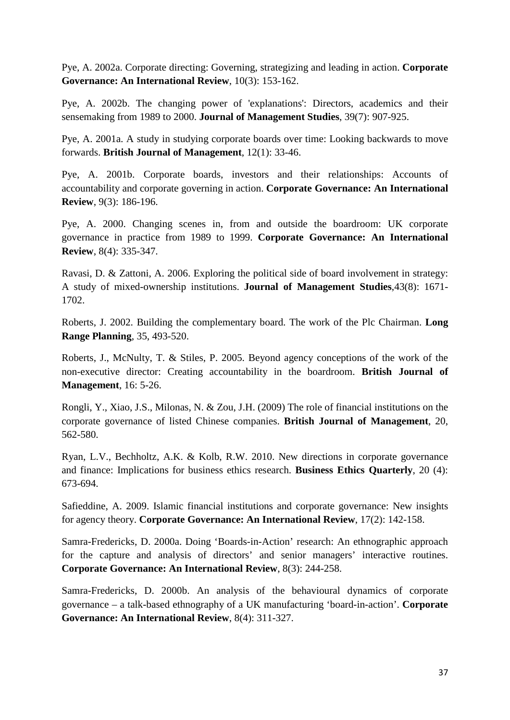Pye, A. 2002a. Corporate directing: Governing, strategizing and leading in action. **Corporate Governance: An International Review**, 10(3): 153-162.

Pye, A. 2002b. The changing power of ['explanations': Directors, academics](http://web.ebscohost.com/ehost/viewarticle?data=dGJyMPPp44rp2%2fdV0%2bnjisfk5Ie46bBRsqq1SbGk343y3qx68t6%2bTq2rrUqup7A4sLCwUbimsTjOw6SM8Nfsi9%2fZ8oHt5Od8u6OxUa6pt1GynOp57N27feyc4nq72PKApOrff7u3zD7f5LtPs6awTrWupH7t6Ot58rPkjeri8n326gAA&hid=111) and their [sensemaking](http://web.ebscohost.com/ehost/viewarticle?data=dGJyMPPp44rp2%2fdV0%2bnjisfk5Ie46bBRsqq1SbGk343y3qx68t6%2bTq2rrUqup7A4sLCwUbimsTjOw6SM8Nfsi9%2fZ8oHt5Od8u6OxUa6pt1GynOp57N27feyc4nq72PKApOrff7u3zD7f5LtPs6awTrWupH7t6Ot58rPkjeri8n326gAA&hid=111) from 1989 to 2000. **Journal of Management Studies**, 39(7): 907-925.

Pye, A. 2001a. [A study in studying corporate boards over time: Looking backwards to move](http://web.ebscohost.com/ehost/viewarticle?data=dGJyMPPp44rp2%2fdV0%2bnjisfk5Ie46bBRsqq1SbGk343y3qx68t6%2bTq2rrUqup7A4sLCwUbimsTjOw6SM8Nfsi9%2fZ8oHt5Od8u6OxUa6pt1GynOp57N27feyc4nq72PKApOrff7u3zD7f5LtMtamvSraopH7t6Ot58rPkjeri8n326gAA&hid=111)  [forwards.](http://web.ebscohost.com/ehost/viewarticle?data=dGJyMPPp44rp2%2fdV0%2bnjisfk5Ie46bBRsqq1SbGk343y3qx68t6%2bTq2rrUqup7A4sLCwUbimsTjOw6SM8Nfsi9%2fZ8oHt5Od8u6OxUa6pt1GynOp57N27feyc4nq72PKApOrff7u3zD7f5LtMtamvSraopH7t6Ot58rPkjeri8n326gAA&hid=111) **British Journal of Management**, 12(1): 33-46.

Pye, A. 2001b. [Corporate boards, investors and their relationships: Accounts of](http://web.ebscohost.com/ehost/viewarticle?data=dGJyMPPp44rp2%2fdV0%2bnjisfk5Ie46bBRsqq1SbGk343y3qx68t6%2bTq2rrUqup7A4sLCwUbimsTjOw6SM8Nfsi9%2fZ8oHt5Od8u6OxUa6pt1GynOp57N27feyc4nq72PKApOrff7u3zD7f5LtJrqqzSrKnsT7k5fCF3%2bq7fvPi6ozj7vIA&hid=111)  [accountability and corporate governing in action.](http://web.ebscohost.com/ehost/viewarticle?data=dGJyMPPp44rp2%2fdV0%2bnjisfk5Ie46bBRsqq1SbGk343y3qx68t6%2bTq2rrUqup7A4sLCwUbimsTjOw6SM8Nfsi9%2fZ8oHt5Od8u6OxUa6pt1GynOp57N27feyc4nq72PKApOrff7u3zD7f5LtJrqqzSrKnsT7k5fCF3%2bq7fvPi6ozj7vIA&hid=111) **Corporate Governance: An International Review**, 9(3): 186-196.

Pye, A. 2000. [Changing scenes in, from and outside the boardroom: UK corporate](http://web.ebscohost.com/ehost/viewarticle?data=dGJyMPPp44rp2%2fdV0%2bnjisfk5Ie46bBRsqq1SbGk343y3qx68t6%2bTq2rrUqup7A4sLCwUbimsTjOw6SM8Nfsi9%2fZ8oHt5Od8u6OxUa6pt1GynOp57N27feyc4nq72PKApOrff7u3zD7f5LtJrqqzSrGusD7k5fCF3%2bq7fvPi6ozj7vIA&hid=111)  [governance in practice from 1989 to 1999.](http://web.ebscohost.com/ehost/viewarticle?data=dGJyMPPp44rp2%2fdV0%2bnjisfk5Ie46bBRsqq1SbGk343y3qx68t6%2bTq2rrUqup7A4sLCwUbimsTjOw6SM8Nfsi9%2fZ8oHt5Od8u6OxUa6pt1GynOp57N27feyc4nq72PKApOrff7u3zD7f5LtJrqqzSrGusD7k5fCF3%2bq7fvPi6ozj7vIA&hid=111) **Corporate Governance: An International Review**, 8(4): 335-347.

Ravasi, D. & Zattoni, A. 2006. Exploring the political side of board involvement in strategy: A study of mixed-ownership institutions. **Journal of Management Studies**,43(8): 1671- 1702.

Roberts, J. 2002. Building the complementary board. The work of the Plc Chairman. **Long Range Planning**, 35, 493-520.

Roberts, J., McNulty, T. & Stiles, P. 2005. Beyond agency conceptions of the work of the non-executive director: Creating accountability in the boardroom. **British Journal of Management**, 16: 5-26.

Rongli, Y., Xiao, J.S., Milonas, N. & Zou, J.H. (2009) The role of financial institutions on the corporate governance of listed Chinese companies. **British Journal of Management**, 20, 562-580.

Ryan, L.V., Bechholtz, A.K. & Kolb, R.W. 2010. [New directions in corporate](http://web.ebscohost.com/ehost/viewarticle?data=dGJyMPPp44rp2%2fdV0%2bnjisfk5Ie46bBRsqq1SbGk343y3qx68t6%2bTa2os0ewpq9Knqq4S7ewr1Cet8s%2b8ujfhvHX4Yzn5eyB4rOrS7Wqs0uwrbZRpOLfhuWz44ak2uBV4OrmPvLX5VW%2fxKR57LOzTLOorkyyrKR%2b7ejrefKz5I3q4vJ99uoA&hid=108) governance [and finance: Implications for business](http://web.ebscohost.com/ehost/viewarticle?data=dGJyMPPp44rp2%2fdV0%2bnjisfk5Ie46bBRsqq1SbGk343y3qx68t6%2bTa2os0ewpq9Knqq4S7ewr1Cet8s%2b8ujfhvHX4Yzn5eyB4rOrS7Wqs0uwrbZRpOLfhuWz44ak2uBV4OrmPvLX5VW%2fxKR57LOzTLOorkyyrKR%2b7ejrefKz5I3q4vJ99uoA&hid=108) ethics research. **Business Ethics Quarterly**, 20 (4): 673-694.

Safieddine, A. 2009. [Islamic financial institutions and corporate governance: New insights](http://web.ebscohost.com/ehost/viewarticle?data=dGJyMPPp44rp2%2fdV0%2bnjisfk5Ie46bBRsqq1SbGk343y3qx68t6%2bTq2srUqup7A4sbCuTLiqtTi%2fw6SM8Nfsi9%2fZ8oHt5Od8u6ezSLWvsU21rbA%2b6tfsf7vb7D7i2Lt68t6kjN%2fdu1nMnN%2bGu6m0ULKmrkyvnOSH8OPfjLvc84Tq6uOQ8gAA&hid=104)  [for agency theory.](http://web.ebscohost.com/ehost/viewarticle?data=dGJyMPPp44rp2%2fdV0%2bnjisfk5Ie46bBRsqq1SbGk343y3qx68t6%2bTq2srUqup7A4sbCuTLiqtTi%2fw6SM8Nfsi9%2fZ8oHt5Od8u6ezSLWvsU21rbA%2b6tfsf7vb7D7i2Lt68t6kjN%2fdu1nMnN%2bGu6m0ULKmrkyvnOSH8OPfjLvc84Tq6uOQ8gAA&hid=104) **Corporate Governance: An International Review**, 17(2): 142-158.

Samra-Fredericks, D. 2000a. [Doing 'Boards-in-Action' research: An ethnographic approach](http://web.ebscohost.com/ehost/viewarticle?data=dGJyMPPp44rp2%2fdV0%2bnjisfk5Ie46bBRsqq1SbGk343y3qx68t6%2bTq2srUqup7A4r7CyUbipszi%2fw6SM8Nfsi9%2fZ8oHt5Od8u6ezSLWvsU21rbA%2b6tfsf7vb7D7i2Lt68t6kjN%2fdu1nMnN%2bGu6euTLOosU60nOSH8OPfjLvc84Tq6uOQ8gAA&hid=104)  [for the capture and analysis of directors' and senior managers' interactive routines.](http://web.ebscohost.com/ehost/viewarticle?data=dGJyMPPp44rp2%2fdV0%2bnjisfk5Ie46bBRsqq1SbGk343y3qx68t6%2bTq2srUqup7A4r7CyUbipszi%2fw6SM8Nfsi9%2fZ8oHt5Od8u6ezSLWvsU21rbA%2b6tfsf7vb7D7i2Lt68t6kjN%2fdu1nMnN%2bGu6euTLOosU60nOSH8OPfjLvc84Tq6uOQ8gAA&hid=104) **Corporate Governance: An International Review**, 8(3): 244-258.

Samra-Fredericks, D. 2000b. [An analysis of the behavioural dynamics of corporate](http://web.ebscohost.com/ehost/viewarticle?data=dGJyMPPp44rp2%2fdV0%2bnjisfk5Ie46bBRsqq1SbGk343y3qx68t6%2bTq2srUqup7A4r7CyUbipszi%2fw6SM8Nfsi9%2fZ8oHt5Od8u6ezSLWvsU21rbA%2b6tfsf7vb7D7i2Lt68t6kjN%2fdu1nMnN%2bGu6euTLOosVCynOSH8OPfjLvc84Tq6uOQ8gAA&hid=104)  governance – [a talk-based ethnography of a UK manufacturing 'board-in-action'.](http://web.ebscohost.com/ehost/viewarticle?data=dGJyMPPp44rp2%2fdV0%2bnjisfk5Ie46bBRsqq1SbGk343y3qx68t6%2bTq2srUqup7A4r7CyUbipszi%2fw6SM8Nfsi9%2fZ8oHt5Od8u6ezSLWvsU21rbA%2b6tfsf7vb7D7i2Lt68t6kjN%2fdu1nMnN%2bGu6euTLOosVCynOSH8OPfjLvc84Tq6uOQ8gAA&hid=104) **Corporate Governance: An International Review**, 8(4): 311-327.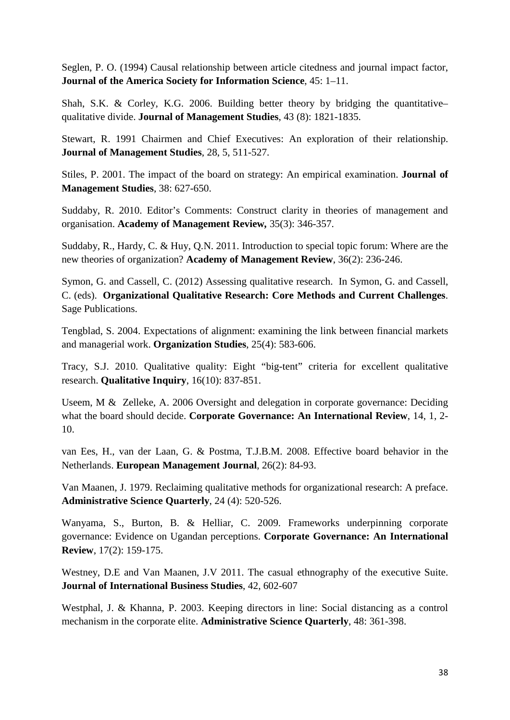Seglen, P. O. (1994) Causal relationship between article citedness and journal impact factor, **Journal of the America Society for Information Science**, 45: 1–11.

Shah, S.K. & Corley, K.G. 2006. [Building better theory by bridging the quantitative–](http://web.ebscohost.com/ehost/viewarticle?data=dGJyMPPp44rp2%2fdV0%2bnjisfk5Ie46bBRsqq1SbGk343y3qx68t6%2bTa2os0ewpq9Knqi4S7Swsk6exss%2b8ujfhvHX4Yzn5eyB4rOrS7SrrkmuprFIpOLfhuWz44ak2uBV4OrmPvLX5VW%2fxKR57LOwTLKorlC1rqR%2b7ejrefKz5I3q4vJ99uoA&hid=125) [qualitative divide.](http://web.ebscohost.com/ehost/viewarticle?data=dGJyMPPp44rp2%2fdV0%2bnjisfk5Ie46bBRsqq1SbGk343y3qx68t6%2bTa2os0ewpq9Knqi4S7Swsk6exss%2b8ujfhvHX4Yzn5eyB4rOrS7SrrkmuprFIpOLfhuWz44ak2uBV4OrmPvLX5VW%2fxKR57LOwTLKorlC1rqR%2b7ejrefKz5I3q4vJ99uoA&hid=125) **Journal of Management Studies**, 43 (8): 1821-1835.

Stewart, R. 1991 Chairmen and Chief Executives: An exploration of their relationship. **Journal of Management Studies**, 28, 5, 511-527.

Stiles, P. 2001. The impact of the board on strategy: An empirical examination. **Journal of Management Studies**, 38: 627-650.

Suddaby, R. 2010. Editor's Comments: Construct clarity in theories of management and organisation. **Academy of Management Review***,* 35(3): 346-357.

Suddaby, R., Hardy, C. & Huy, Q.N. 2011. Introduction to special topic forum: Where are the new theories of organization? **Academy of Management Review**, 36(2): 236-246.

Symon, G. and Cassell, C. (2012) Assessing qualitative research. In Symon, G. and Cassell, C. (eds). **Organizational Qualitative Research: Core Methods and Current Challenges**. Sage Publications.

Tengblad, S. 2004. [Expectations of alignment: examining the link between financial markets](http://web.ebscohost.com/ehost/viewarticle?data=dGJyMPPp44rp2%2fdV0%2bnjisfk5Ie46bBRsqq1SbGk343y3qx68t6%2bTq2srUqup7A4r7CyUbipszi%2fw6SM8Nfsi9%2fZ8oHt5Od8u6ezSLWvsU21rbA%2b6tfsf7vb7D7i2Lt68t6kjN%2fdu1nMnN%2bGu6exTa%2bqtEyunOSH8OPfjLvc84Tq6uOQ8gAA&hid=104)  [and managerial work.](http://web.ebscohost.com/ehost/viewarticle?data=dGJyMPPp44rp2%2fdV0%2bnjisfk5Ie46bBRsqq1SbGk343y3qx68t6%2bTq2srUqup7A4r7CyUbipszi%2fw6SM8Nfsi9%2fZ8oHt5Od8u6ezSLWvsU21rbA%2b6tfsf7vb7D7i2Lt68t6kjN%2fdu1nMnN%2bGu6exTa%2bqtEyunOSH8OPfjLvc84Tq6uOQ8gAA&hid=104) **Organization Studies**, 25(4): 583-606.

Tracy, S.J. 2010. Qualitative quality: Eight "big-tent" criteria for excellent qualitative research. **Qualitative Inquiry**, 16(10): 837-851.

Useem, M & Zelleke, A. 2006 Oversight and delegation in corporate governance: Deciding what the board should decide. **Corporate Governance: An International Review**, 14, 1, 2- 10.

van Ees, H., van der Laan, G. & Postma, T.J.B.M. 2008. [Effective board behavior in the](http://web.ebscohost.com/ehost/viewarticle?data=dGJyMPPp44rp2%2fdV0%2bnjisfk5Ie46bBRsqq1SbGk343y3qx68t6%2bTq2srUqup7A4sbCuTLiqtTi%2fw6SM8Nfsi9%2fZ8oHt5Od8u6ezSLWvsU21rbA%2b6tfsf7vb7D7i2Lt68t6kjN%2fdu1nMnN%2bGu6mvTK6ttE%2bznOSH8OPfjLvc84Tq6uOQ8gAA&hid=104)  [Netherlands.](http://web.ebscohost.com/ehost/viewarticle?data=dGJyMPPp44rp2%2fdV0%2bnjisfk5Ie46bBRsqq1SbGk343y3qx68t6%2bTq2srUqup7A4sbCuTLiqtTi%2fw6SM8Nfsi9%2fZ8oHt5Od8u6ezSLWvsU21rbA%2b6tfsf7vb7D7i2Lt68t6kjN%2fdu1nMnN%2bGu6mvTK6ttE%2bznOSH8OPfjLvc84Tq6uOQ8gAA&hid=104) **European Management Journal**, 26(2): 84-93.

Van Maanen, J. 1979. Reclaiming qualitative [methods for organizational research: A preface.](http://web.ebscohost.com/ehost/viewarticle?data=dGJyMPPp44rp2%2fdV0%2bnjisfk5Ie46bBRsqq1SbGk343y3qx68t6%2bTa2os0ewpq9Knqi4S7Swsk6exss%2b8ujfhvHX4Yzn5eyB4rOrS7SrrkmuprFIpOLfhuWz44ak2uBV4OrmPvLX5VW%2fxKR57LOxUbams0y3nOSH8OPfjLvc84Tq6uOQ8gAA&hid=125) **Administrative Science Quarterly**, 24 (4): 520-526.

Wanyama, S., Burton, B. & Helliar, C. 2009. Frameworks underpinning corporate governance: Evidence on Ugandan perceptions. **Corporate Governance: An International Review**, 17(2): 159-175.

Westney, D.E and Van Maanen, J.V 2011. The casual ethnography of the executive Suite. **Journal of International Business Studies**, 42, 602-607

Westphal, J. & Khanna, P. 2003. Keeping directors in line: Social distancing as a control mechanism in the corporate elite. **Administrative Science Quarterly**, 48: 361-398.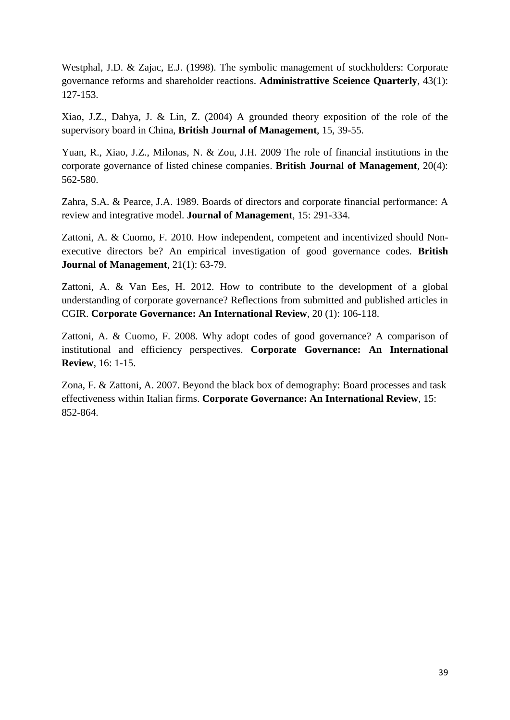Westphal, J.D. & Zajac, E.J. (1998). The symbolic management of stockholders: Corporate governance reforms and shareholder reactions. **Administrattive Sceience Quarterly**, 43(1): 127-153.

Xiao, J.Z., Dahya, J. & Lin, Z. (2004) A grounded theory exposition of the role of the supervisory board in China, **British Journal of Management**, 15, 39-55.

Yuan, R., Xiao, J.Z., Milonas, N. & Zou, J.H. 2009 [The role of financial institutions in the](http://web.ebscohost.com/ehost/viewarticle?data=dGJyMPPp44rp2%2fdV0%2bnjisfk5Ie46bBRsqq1SbGk343y3qx68t6%2bTq2rrUqup7A4sLCzSLimtjjOw6SM8Nfsi9%2fZ8oHt5Od8u6OxUa6pt1GynOp57N27feyc4nq72PKApOrff7u3zD7f5LtMtK2zSbOptT7k5fCF3%2bq7fvPi6ozj7vIA&hid=111)  [corporate governance of listed chinese companies.](http://web.ebscohost.com/ehost/viewarticle?data=dGJyMPPp44rp2%2fdV0%2bnjisfk5Ie46bBRsqq1SbGk343y3qx68t6%2bTq2rrUqup7A4sLCzSLimtjjOw6SM8Nfsi9%2fZ8oHt5Od8u6OxUa6pt1GynOp57N27feyc4nq72PKApOrff7u3zD7f5LtMtK2zSbOptT7k5fCF3%2bq7fvPi6ozj7vIA&hid=111) **British Journal of Management**, 20(4): 562-580.

Zahra, S.A. & Pearce, J.A. 1989. Boards of directors and corporate financial performance: A review and integrative model. **Journal of Management**, 15: 291-334.

Zattoni, A. & Cuomo, F. 2010. [How independent, competent and incentivized should Non](http://web.ebscohost.com/ehost/viewarticle?data=dGJyMPPp44rp2%2fdV0%2bnjisfk5Ie46bBRsqq1SbGk343y3qx68t6%2bTq2rrUqup7A4sLCwUbimsTjOw6SM8Nfsi9%2fZ8oHt5Od8u6OxUa6pt1GynOp57N27feyc4nq72PKApOrff7u3zD7f5LtMtqezUbSttj7k5fCF3%2bq7fvPi6ozj7vIA&hid=111)[executive directors be? An empirical investigation of good governance codes.](http://web.ebscohost.com/ehost/viewarticle?data=dGJyMPPp44rp2%2fdV0%2bnjisfk5Ie46bBRsqq1SbGk343y3qx68t6%2bTq2rrUqup7A4sLCwUbimsTjOw6SM8Nfsi9%2fZ8oHt5Od8u6OxUa6pt1GynOp57N27feyc4nq72PKApOrff7u3zD7f5LtMtqezUbSttj7k5fCF3%2bq7fvPi6ozj7vIA&hid=111) **British Journal of Management**, 21(1): 63-79.

Zattoni, A. & Van Ees, H. 2012. [How to contribute to the development of a global](http://web.ebscohost.com/ehost/viewarticle?data=dGJyMPPp44rp2%2fdV0%2bnjisfk5Ie46bBRsqq1SbGk343y3qx68t6%2bTa2os0ewpq9Knqi4S7Swsk6exss%2b8ujfhvHX4Yzn5eyB4rOrS7SrrkmuprFIpOLfhuWz44ak2uBV4OrmPvLX5VW%2fxKR57LO0UbeqtUquqKR%2b7ejrefKz5I3q4vJ99uoA&hid=125)  [understanding of corporate governance? Reflections from submitted and published articles in](http://web.ebscohost.com/ehost/viewarticle?data=dGJyMPPp44rp2%2fdV0%2bnjisfk5Ie46bBRsqq1SbGk343y3qx68t6%2bTa2os0ewpq9Knqi4S7Swsk6exss%2b8ujfhvHX4Yzn5eyB4rOrS7SrrkmuprFIpOLfhuWz44ak2uBV4OrmPvLX5VW%2fxKR57LO0UbeqtUquqKR%2b7ejrefKz5I3q4vJ99uoA&hid=125)  [CGIR.](http://web.ebscohost.com/ehost/viewarticle?data=dGJyMPPp44rp2%2fdV0%2bnjisfk5Ie46bBRsqq1SbGk343y3qx68t6%2bTa2os0ewpq9Knqi4S7Swsk6exss%2b8ujfhvHX4Yzn5eyB4rOrS7SrrkmuprFIpOLfhuWz44ak2uBV4OrmPvLX5VW%2fxKR57LO0UbeqtUquqKR%2b7ejrefKz5I3q4vJ99uoA&hid=125) **Corporate Governance: An International Review**, 20 (1): 106-118.

Zattoni, A. & Cuomo, F. 2008. Why adopt codes of good governance? A comparison of institutional and efficiency perspectives. **Corporate Governance: An International Review**, 16: 1-15.

Zona, F. & Zattoni, A. 2007. Beyond the black box of demography: Board processes and task effectiveness within Italian firms. **Corporate Governance: An International Review**, 15: 852-864.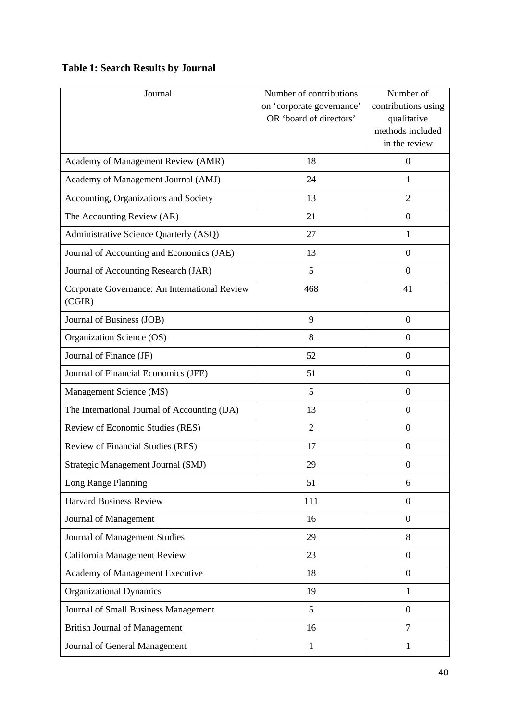# **Table 1: Search Results by Journal**

| Journal                                                 | Number of contributions<br>on 'corporate governance'<br>OR 'board of directors' | Number of<br>contributions using<br>qualitative<br>methods included |
|---------------------------------------------------------|---------------------------------------------------------------------------------|---------------------------------------------------------------------|
|                                                         |                                                                                 | in the review                                                       |
| Academy of Management Review (AMR)                      | 18                                                                              | $\mathbf{0}$                                                        |
| Academy of Management Journal (AMJ)                     | 24                                                                              | $\mathbf{1}$                                                        |
| Accounting, Organizations and Society                   | 13                                                                              | $\overline{2}$                                                      |
| The Accounting Review (AR)                              | 21                                                                              | $\boldsymbol{0}$                                                    |
| Administrative Science Quarterly (ASQ)                  | 27                                                                              | 1                                                                   |
| Journal of Accounting and Economics (JAE)               | 13                                                                              | $\boldsymbol{0}$                                                    |
| Journal of Accounting Research (JAR)                    | 5                                                                               | $\overline{0}$                                                      |
| Corporate Governance: An International Review<br>(CGIR) | 468                                                                             | 41                                                                  |
| Journal of Business (JOB)                               | 9                                                                               | $\boldsymbol{0}$                                                    |
| Organization Science (OS)                               | 8                                                                               | $\boldsymbol{0}$                                                    |
| Journal of Finance (JF)                                 | 52                                                                              | $\overline{0}$                                                      |
| Journal of Financial Economics (JFE)                    | 51                                                                              | $\mathbf{0}$                                                        |
| Management Science (MS)                                 | 5                                                                               | $\overline{0}$                                                      |
| The International Journal of Accounting (IJA)           | 13                                                                              | $\boldsymbol{0}$                                                    |
| Review of Economic Studies (RES)                        | $\overline{2}$                                                                  | $\overline{0}$                                                      |
| Review of Financial Studies (RFS)                       | 17                                                                              | $\mathbf{0}$                                                        |
| Strategic Management Journal (SMJ)                      | 29                                                                              | $\boldsymbol{0}$                                                    |
| Long Range Planning                                     | 51                                                                              | 6                                                                   |
| <b>Harvard Business Review</b>                          | 111                                                                             | $\boldsymbol{0}$                                                    |
| Journal of Management                                   | 16                                                                              | $\boldsymbol{0}$                                                    |
| Journal of Management Studies                           | 29                                                                              | 8                                                                   |
| California Management Review                            | 23                                                                              | $\boldsymbol{0}$                                                    |
| Academy of Management Executive                         | 18                                                                              | $\boldsymbol{0}$                                                    |
| <b>Organizational Dynamics</b>                          | 19                                                                              | 1                                                                   |
| Journal of Small Business Management                    | 5                                                                               | $\boldsymbol{0}$                                                    |
| <b>British Journal of Management</b>                    | 16                                                                              | $\overline{7}$                                                      |
| Journal of General Management                           | $\mathbf{1}$                                                                    | $\mathbf{1}$                                                        |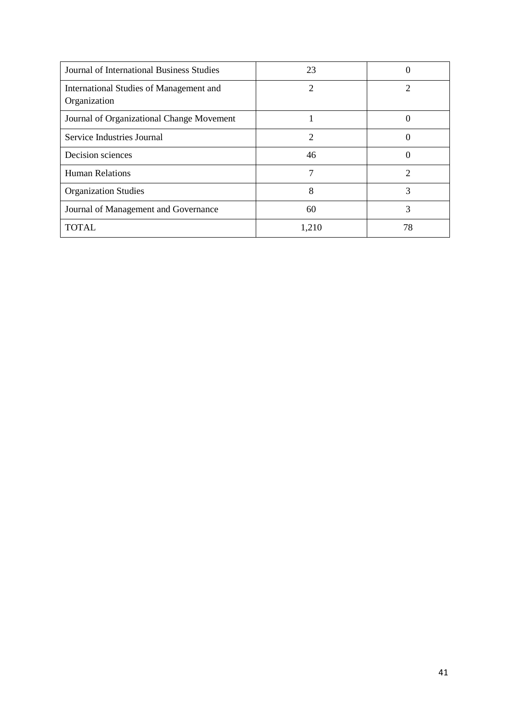| Journal of International Business Studies               | 23    |                  |
|---------------------------------------------------------|-------|------------------|
| International Studies of Management and<br>Organization |       | 2                |
| Journal of Organizational Change Movement               |       | $\left( \right)$ |
| Service Industries Journal                              | 2     | 0                |
| Decision sciences                                       | 46    |                  |
| <b>Human Relations</b>                                  |       | 2                |
| <b>Organization Studies</b>                             | 8     | 3                |
| Journal of Management and Governance                    | 60    | 3                |
| <b>TOTAL</b>                                            | 1,210 | 78               |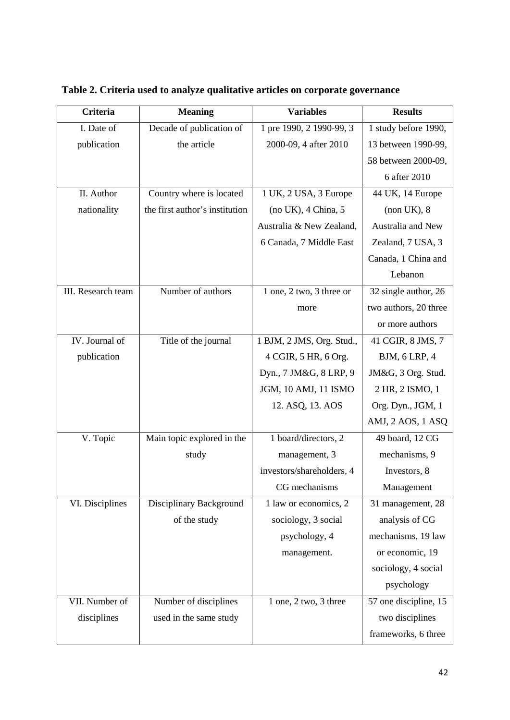| Criteria           | <b>Meaning</b>                 | <b>Variables</b>          | <b>Results</b>        |
|--------------------|--------------------------------|---------------------------|-----------------------|
| I. Date of         | Decade of publication of       | 1 pre 1990, 2 1990-99, 3  | 1 study before 1990,  |
| publication        | the article                    | 2000-09, 4 after 2010     | 13 between 1990-99,   |
|                    |                                |                           | 58 between 2000-09,   |
|                    |                                |                           | 6 after 2010          |
| II. Author         | Country where is located       | 1 UK, 2 USA, 3 Europe     | 44 UK, 14 Europe      |
| nationality        | the first author's institution | (no UK), 4 China, 5       | (non UK), 8           |
|                    |                                | Australia & New Zealand,  | Australia and New     |
|                    |                                | 6 Canada, 7 Middle East   | Zealand, 7 USA, 3     |
|                    |                                |                           | Canada, 1 China and   |
|                    |                                |                           | Lebanon               |
| III. Research team | Number of authors              | 1 one, 2 two, 3 three or  | 32 single author, 26  |
|                    |                                | more                      | two authors, 20 three |
|                    |                                |                           | or more authors       |
| IV. Journal of     | Title of the journal           | 1 BJM, 2 JMS, Org. Stud., | 41 CGIR, 8 JMS, 7     |
| publication        |                                | 4 CGIR, 5 HR, 6 Org.      | <b>BJM, 6 LRP, 4</b>  |
|                    |                                | Dyn., 7 JM&G, 8 LRP, 9    | JM&G, 3 Org. Stud.    |
|                    |                                | JGM, 10 AMJ, 11 ISMO      | 2 HR, 2 ISMO, 1       |
|                    |                                | 12. ASQ, 13. AOS          | Org. Dyn., JGM, 1     |
|                    |                                |                           | AMJ, 2 AOS, 1 ASQ     |
| V. Topic           | Main topic explored in the     | 1 board/directors, 2      | 49 board, 12 CG       |
|                    | study                          | management, 3             | mechanisms, 9         |
|                    |                                | investors/shareholders, 4 | Investors, 8          |
|                    |                                | CG mechanisms             | Management            |
| VI. Disciplines    | Disciplinary Background        | 1 law or economics, 2     | 31 management, 28     |
|                    | of the study                   | sociology, 3 social       | analysis of CG        |
|                    |                                | psychology, 4             | mechanisms, 19 law    |
|                    |                                | management.               | or economic, 19       |
|                    |                                |                           | sociology, 4 social   |
|                    |                                |                           | psychology            |
| VII. Number of     | Number of disciplines          | 1 one, 2 two, 3 three     | 57 one discipline, 15 |
| disciplines        | used in the same study         |                           | two disciplines       |
|                    |                                |                           | frameworks, 6 three   |

**Table 2. Criteria used to analyze qualitative articles on corporate governance**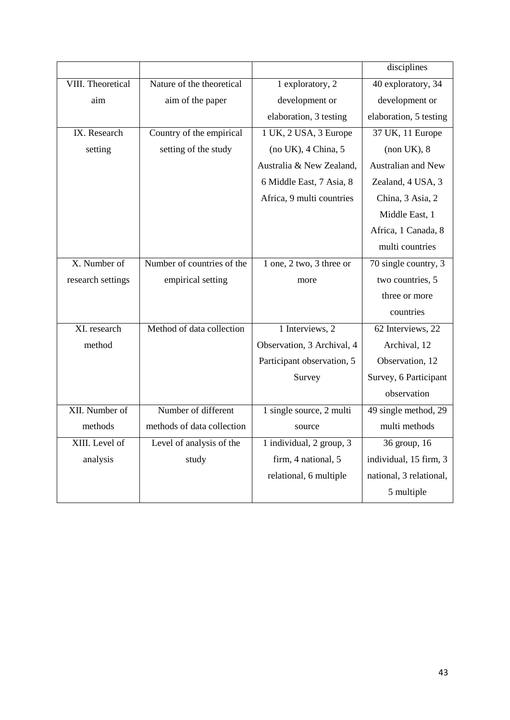|                          |                            |                            | disciplines               |
|--------------------------|----------------------------|----------------------------|---------------------------|
| <b>VIII.</b> Theoretical | Nature of the theoretical  | 1 exploratory, 2           | 40 exploratory, 34        |
| aim                      | aim of the paper           | development or             | development or            |
|                          |                            | elaboration, 3 testing     | elaboration, 5 testing    |
| IX. Research             | Country of the empirical   | 1 UK, 2 USA, 3 Europe      | 37 UK, 11 Europe          |
| setting                  | setting of the study       | (no UK), 4 China, 5        | (non UK), 8               |
|                          |                            | Australia & New Zealand,   | <b>Australian and New</b> |
|                          |                            | 6 Middle East, 7 Asia, 8   | Zealand, 4 USA, 3         |
|                          |                            | Africa, 9 multi countries  | China, 3 Asia, 2          |
|                          |                            |                            | Middle East, 1            |
|                          |                            |                            | Africa, 1 Canada, 8       |
|                          |                            |                            | multi countries           |
| X. Number of             | Number of countries of the | 1 one, 2 two, 3 three or   | 70 single country, 3      |
| research settings        | empirical setting          | more                       | two countries, 5          |
|                          |                            |                            | three or more             |
|                          |                            |                            | countries                 |
| XI. research             | Method of data collection  | 1 Interviews, 2            | 62 Interviews, 22         |
| method                   |                            | Observation, 3 Archival, 4 | Archival, 12              |
|                          |                            | Participant observation, 5 | Observation, 12           |
|                          |                            | Survey                     | Survey, 6 Participant     |
|                          |                            |                            | observation               |
| XII. Number of           | Number of different        | 1 single source, 2 multi   | 49 single method, 29      |
| methods                  | methods of data collection | source                     | multi methods             |
| XIII. Level of           | Level of analysis of the   | 1 individual, 2 group, 3   | 36 group, 16              |
| analysis                 | study                      | firm, 4 national, 5        | individual, 15 firm, 3    |
|                          |                            | relational, 6 multiple     | national, 3 relational,   |
|                          |                            |                            | 5 multiple                |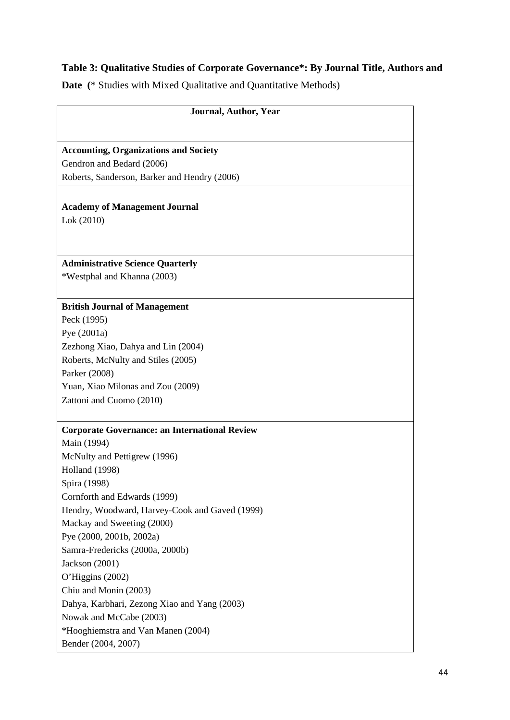# **Table 3: Qualitative Studies of Corporate Governance\*: By Journal Title, Authors and**

**Date (**\* Studies with Mixed Qualitative and Quantitative Methods)

| <b>Accounting, Organizations and Society</b><br>Gendron and Bedard (2006)<br>Roberts, Sanderson, Barker and Hendry (2006)<br><b>Academy of Management Journal</b><br>Lok (2010)<br>*Westphal and Khanna (2003)<br>Yuan, Xiao Milonas and Zou (2009)<br><b>Corporate Governance: an International Review</b><br>Spira (1998)<br>*Hooghiemstra and Van Manen (2004) | Journal, Author, Year                          |  |
|-------------------------------------------------------------------------------------------------------------------------------------------------------------------------------------------------------------------------------------------------------------------------------------------------------------------------------------------------------------------|------------------------------------------------|--|
|                                                                                                                                                                                                                                                                                                                                                                   |                                                |  |
|                                                                                                                                                                                                                                                                                                                                                                   |                                                |  |
|                                                                                                                                                                                                                                                                                                                                                                   |                                                |  |
|                                                                                                                                                                                                                                                                                                                                                                   |                                                |  |
|                                                                                                                                                                                                                                                                                                                                                                   |                                                |  |
|                                                                                                                                                                                                                                                                                                                                                                   |                                                |  |
|                                                                                                                                                                                                                                                                                                                                                                   |                                                |  |
|                                                                                                                                                                                                                                                                                                                                                                   |                                                |  |
|                                                                                                                                                                                                                                                                                                                                                                   |                                                |  |
|                                                                                                                                                                                                                                                                                                                                                                   | <b>Administrative Science Quarterly</b>        |  |
|                                                                                                                                                                                                                                                                                                                                                                   |                                                |  |
|                                                                                                                                                                                                                                                                                                                                                                   |                                                |  |
|                                                                                                                                                                                                                                                                                                                                                                   | <b>British Journal of Management</b>           |  |
|                                                                                                                                                                                                                                                                                                                                                                   | Peck (1995)                                    |  |
|                                                                                                                                                                                                                                                                                                                                                                   | Pye $(2001a)$                                  |  |
|                                                                                                                                                                                                                                                                                                                                                                   | Zezhong Xiao, Dahya and Lin (2004)             |  |
|                                                                                                                                                                                                                                                                                                                                                                   | Roberts, McNulty and Stiles (2005)             |  |
|                                                                                                                                                                                                                                                                                                                                                                   | Parker (2008)                                  |  |
|                                                                                                                                                                                                                                                                                                                                                                   |                                                |  |
|                                                                                                                                                                                                                                                                                                                                                                   | Zattoni and Cuomo (2010)                       |  |
|                                                                                                                                                                                                                                                                                                                                                                   |                                                |  |
|                                                                                                                                                                                                                                                                                                                                                                   |                                                |  |
|                                                                                                                                                                                                                                                                                                                                                                   | Main (1994)                                    |  |
|                                                                                                                                                                                                                                                                                                                                                                   | McNulty and Pettigrew (1996)                   |  |
|                                                                                                                                                                                                                                                                                                                                                                   | <b>Holland</b> (1998)                          |  |
|                                                                                                                                                                                                                                                                                                                                                                   |                                                |  |
|                                                                                                                                                                                                                                                                                                                                                                   | Cornforth and Edwards (1999)                   |  |
|                                                                                                                                                                                                                                                                                                                                                                   | Hendry, Woodward, Harvey-Cook and Gaved (1999) |  |
|                                                                                                                                                                                                                                                                                                                                                                   | Mackay and Sweeting (2000)                     |  |
|                                                                                                                                                                                                                                                                                                                                                                   | Pye (2000, 2001b, 2002a)                       |  |
|                                                                                                                                                                                                                                                                                                                                                                   | Samra-Fredericks (2000a, 2000b)                |  |
|                                                                                                                                                                                                                                                                                                                                                                   | Jackson (2001)                                 |  |
|                                                                                                                                                                                                                                                                                                                                                                   | O'Higgins (2002)                               |  |
|                                                                                                                                                                                                                                                                                                                                                                   | Chiu and Monin (2003)                          |  |
|                                                                                                                                                                                                                                                                                                                                                                   | Dahya, Karbhari, Zezong Xiao and Yang (2003)   |  |
|                                                                                                                                                                                                                                                                                                                                                                   | Nowak and McCabe (2003)                        |  |
|                                                                                                                                                                                                                                                                                                                                                                   |                                                |  |
|                                                                                                                                                                                                                                                                                                                                                                   | Bender (2004, 2007)                            |  |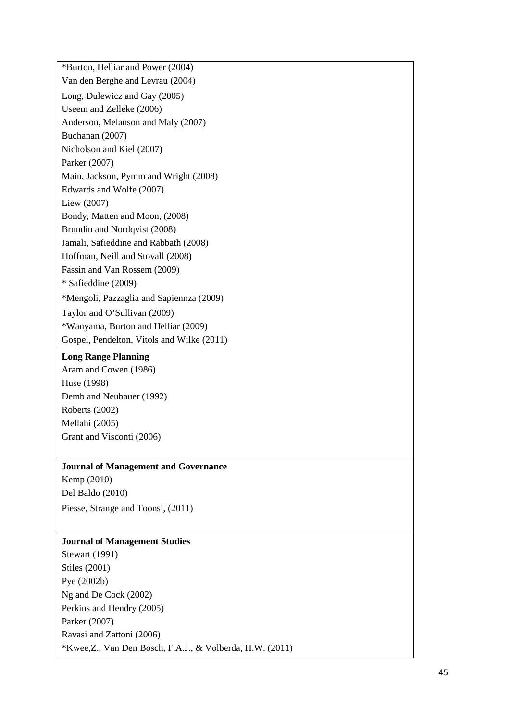\*Burton, Helliar and Power (2004) Van den Berghe and Levrau (2004) Long, Dulewicz and Gay (2005) Useem and Zelleke (2006) Anderson, Melanson and Maly (2007) Buchanan (2007) Nicholson and Kiel (2007) Parker (2007) Main, Jackson, Pymm and Wright (2008) Edwards and Wolfe (2007) Liew (2007) Bondy, Matten and Moon, (2008) Brundin and Nordqvist (2008) Jamali, Safieddine and Rabbath (2008) Hoffman, Neill and Stovall (2008) Fassin and Van Rossem (2009) \* Safieddine (2009) \*Mengoli, Pazzaglia and Sapiennza (2009) Taylor and O'Sullivan (2009) \*Wanyama, Burton and Helliar (2009) Gospel, Pendelton, Vitols and Wilke (2011)

## **Long Range Planning**

Aram and Cowen (1986) Huse (1998) Demb and Neubauer (1992) Roberts (2002) Mellahi (2005) Grant and Visconti (2006)

## **Journal of Management and Governance**

Kemp (2010) Del Baldo (2010) Piesse, Strange and Toonsi, (2011)

# **Journal of Management Studies**

Stewart (1991) Stiles (2001) Pye (2002b) Ng and De Cock (2002) Perkins and Hendry (2005) Parker (2007) Ravasi and Zattoni (2006) \*Kwee,Z., Van Den Bosch, F.A.J., & Volberda, H.W. (2011)